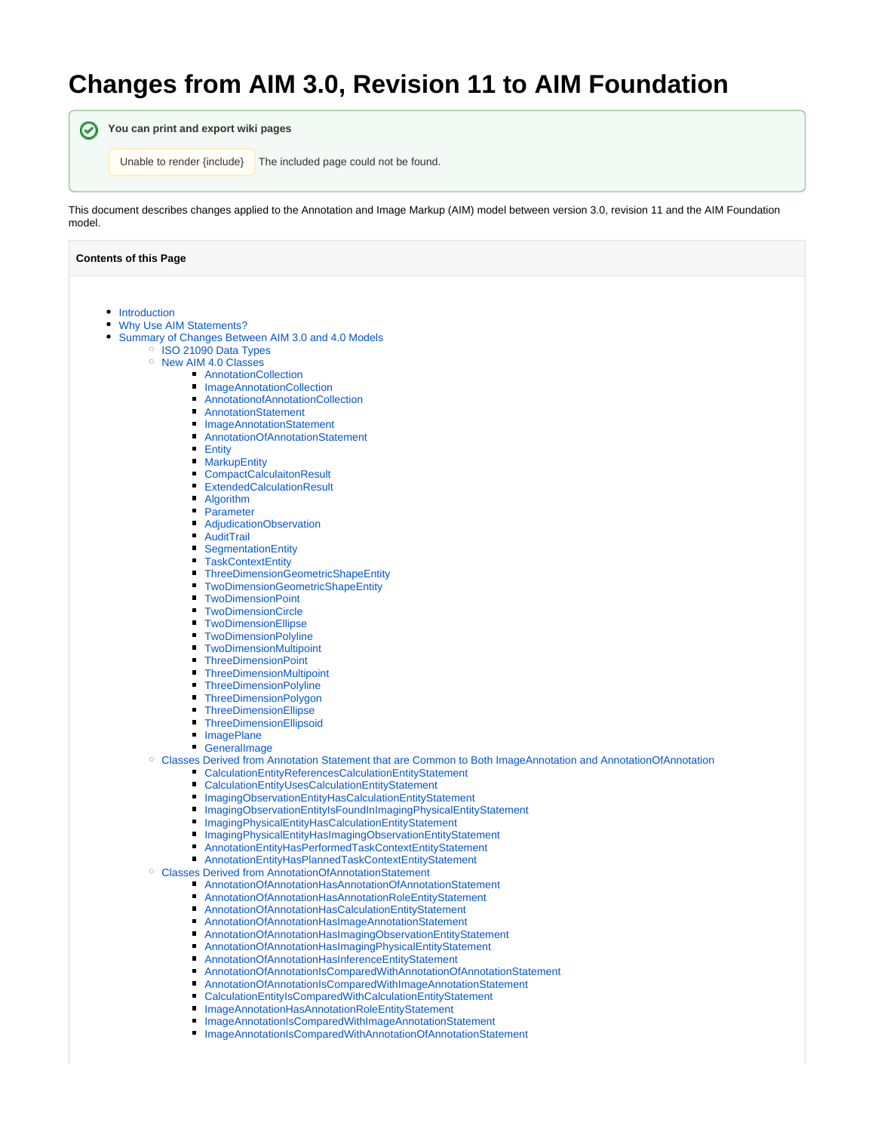# **Changes from AIM 3.0, Revision 11 to AIM Foundation**

**You can print and export wiki pages** Unable to render {include} The included page could not be found.

This document describes changes applied to the Annotation and Image Markup (AIM) model between version 3.0, revision 11 and the AIM Foundation model.

| <b>Contents of this Page</b>                                                                                              |  |  |
|---------------------------------------------------------------------------------------------------------------------------|--|--|
|                                                                                                                           |  |  |
| Introduction                                                                                                              |  |  |
| Why Use AIM Statements?                                                                                                   |  |  |
| Summary of Changes Between AIM 3.0 and 4.0 Models                                                                         |  |  |
| <sup>o</sup> ISO 21090 Data Types                                                                                         |  |  |
| <sup>o</sup> New AIM 4.0 Classes                                                                                          |  |  |
| AnnotationCollection                                                                                                      |  |  |
| ImageAnnotationCollection                                                                                                 |  |  |
| AnnotationofAnnotationCollection                                                                                          |  |  |
| <b>AnnotationStatement</b>                                                                                                |  |  |
| <b>ImageAnnotationStatement</b>                                                                                           |  |  |
| AnnotationOfAnnotationStatement                                                                                           |  |  |
| Entity<br>п                                                                                                               |  |  |
| <b>MarkupEntity</b><br>п                                                                                                  |  |  |
| <b>CompactCalculaitonResult</b>                                                                                           |  |  |
| <b>ExtendedCalculationResult</b>                                                                                          |  |  |
| Algorithm                                                                                                                 |  |  |
| Parameter<br>п                                                                                                            |  |  |
| AdjudicationObservation                                                                                                   |  |  |
| AuditTrail                                                                                                                |  |  |
| SegmentationEntity                                                                                                        |  |  |
| <b>TaskContextEntity</b>                                                                                                  |  |  |
| ThreeDimensionGeometricShapeEntity                                                                                        |  |  |
| <b>TwoDimensionGeometricShapeEntity</b>                                                                                   |  |  |
| <b>TwoDimensionPoint</b>                                                                                                  |  |  |
| <b>TwoDimensionCircle</b>                                                                                                 |  |  |
| <b>TwoDimensionEllipse</b>                                                                                                |  |  |
| <b>TwoDimensionPolyline</b>                                                                                               |  |  |
| TwoDimensionMultipoint<br>п                                                                                               |  |  |
| <b>ThreeDimensionPoint</b>                                                                                                |  |  |
| <b>ThreeDimensionMultipoint</b>                                                                                           |  |  |
| <b>ThreeDimensionPolyline</b>                                                                                             |  |  |
| <b>ThreeDimensionPolygon</b>                                                                                              |  |  |
| ThreeDimensionEllipse<br>п                                                                                                |  |  |
| ThreeDimensionEllipsoid<br>ImagePlane                                                                                     |  |  |
| Generallmage                                                                                                              |  |  |
| <sup>o</sup> Classes Derived from Annotation Statement that are Common to Both ImageAnnotation and AnnotationOfAnnotation |  |  |
| CalculationEntityReferencesCalculationEntityStatement                                                                     |  |  |
| CalculationEntityUsesCalculationEntityStatement<br>п                                                                      |  |  |
| ImagingObservationEntityHasCalculationEntityStatement                                                                     |  |  |
| ImagingObservationEntityIsFoundInImagingPhysicalEntityStatement                                                           |  |  |
| ImagingPhysicalEntityHasCalculationEntityStatement<br>п                                                                   |  |  |
| ImagingPhysicalEntityHasImagingObservationEntityStatement                                                                 |  |  |
| AnnotationEntityHasPerformedTaskContextEntityStatement                                                                    |  |  |
| AnnotationEntityHasPlannedTaskContextEntityStatement                                                                      |  |  |
| <sup>o</sup> Classes Derived from AnnotationOfAnnotationStatement                                                         |  |  |
| AnnotationOfAnnotationHasAnnotationOfAnnotationStatement                                                                  |  |  |
| AnnotationOfAnnotationHasAnnotationRoleEntityStatement                                                                    |  |  |
| AnnotationOfAnnotationHasCalculationEntityStatement                                                                       |  |  |
| AnnotationOfAnnotationHasImageAnnotationStatement                                                                         |  |  |
| AnnotationOfAnnotationHasImagingObservationEntityStatement                                                                |  |  |
| AnnotationOfAnnotationHasImagingPhysicalEntityStatement<br>Е                                                              |  |  |
| AnnotationOfAnnotationHasInferenceEntityStatement<br>п                                                                    |  |  |
| AnnotationOfAnnotationIsComparedWithAnnotationOfAnnotationStatement                                                       |  |  |
| AnnotationOfAnnotationIsComparedWithImageAnnotationStatement                                                              |  |  |
| CalculationEntityIsComparedWithCalculationEntityStatement                                                                 |  |  |
| ImageAnnotationHasAnnotationRoleEntityStatement<br>п                                                                      |  |  |
| ImageAnnotationIsComparedWithImageAnnotationStatement<br>ImageAnnotationIsComparedWithAnnotationOfAnnotationStatement     |  |  |
|                                                                                                                           |  |  |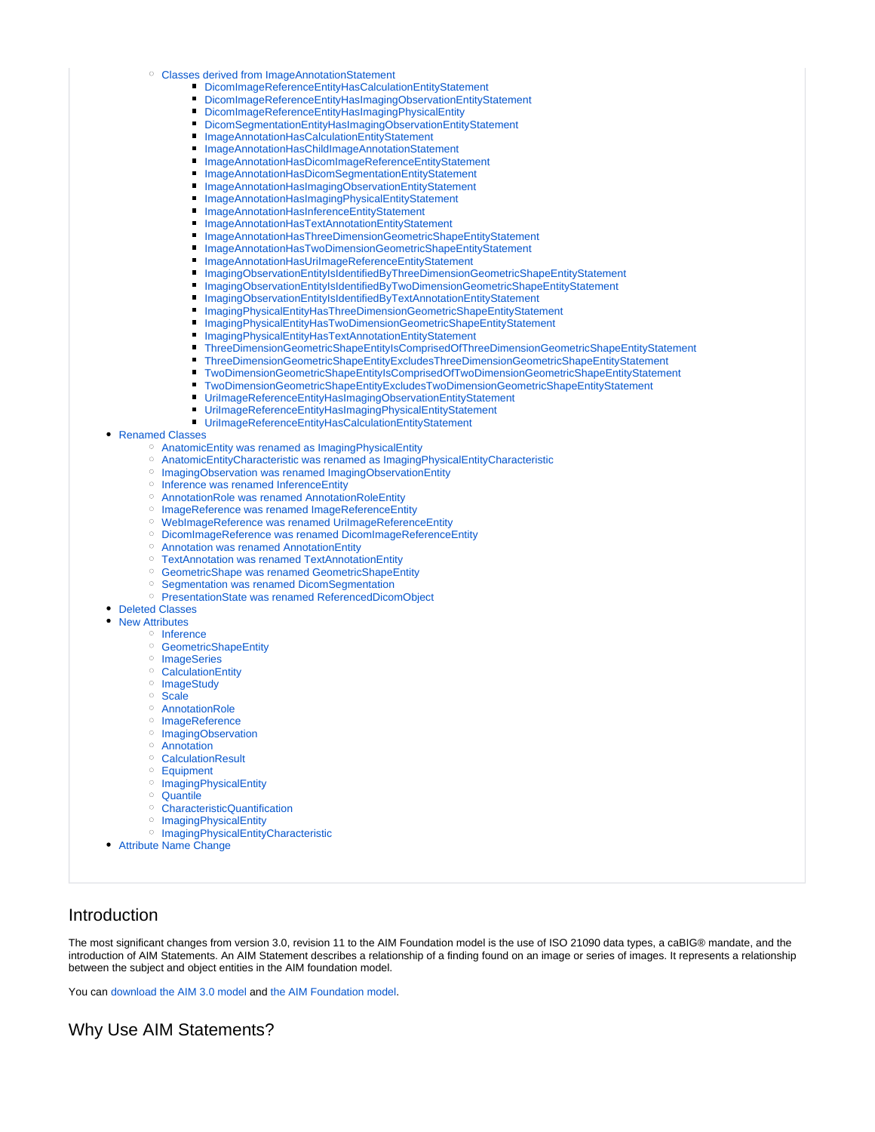- [Classes derived from ImageAnnotationStatement](#page-11-2)
	- [DicomImageReferenceEntityHasCalculationEntityStatement](#page-11-3)
	- [DicomImageReferenceEntityHasImagingObservationEntityStatement](#page-12-0)
	- [DicomImageReferenceEntityHasImagingPhysicalEntity](#page-12-1)
	- $\blacksquare$ [DicomSegmentationEntityHasImagingObservationEntityStatement](#page-12-2)
	- [ImageAnnotationHasCalculationEntityStatement](#page-13-0)
	- [ImageAnnotationHasChildImageAnnotationStatement](#page-13-1)
	- $\blacksquare$ [ImageAnnotationHasDicomImageReferenceEntityStatement](#page-13-2)
	- [ImageAnnotationHasDicomSegmentationEntityStatement](#page-13-3)
	- [ImageAnnotationHasImagingObservationEntityStatement](#page-14-0)
	- [ImageAnnotationHasImagingPhysicalEntityStatement](#page-14-1)
	- [ImageAnnotationHasInferenceEntityStatement](#page-14-2)
	- [ImageAnnotationHasTextAnnotationEntityStatement](#page-14-3)
	- [ImageAnnotationHasThreeDimensionGeometricShapeEntityStatement](#page-14-4)
	- $\blacksquare$ [ImageAnnotationHasTwoDimensionGeometricShapeEntityStatement](#page-15-0)
	- [ImageAnnotationHasUriImageReferenceEntityStatement](#page-15-1)
	- [ImagingObservationEntityIsIdentifiedByThreeDimensionGeometricShapeEntityStatement](#page-15-2)
	- [ImagingObservationEntityIsIdentifiedByTwoDimensionGeometricShapeEntityStatement](#page-15-3)
	- [ImagingObservationEntityIsIdentifiedByTextAnnotationEntityStatement](#page-16-0)
	- [ImagingPhysicalEntityHasThreeDimensionGeometricShapeEntityStatement](#page-16-1)
	- [ImagingPhysicalEntityHasTwoDimensionGeometricShapeEntityStatement](#page-16-2)
	- $\blacksquare$ [ImagingPhysicalEntityHasTextAnnotationEntityStatement](#page-16-3)
	- [ThreeDimensionGeometricShapeEntityIsComprisedOfThreeDimensionGeometricShapeEntityStatement](#page-16-4)
	- [ThreeDimensionGeometricShapeEntityExcludesThreeDimensionGeometricShapeEntityStatement](#page-17-0)
	- $\blacksquare$ [TwoDimensionGeometricShapeEntityIsComprisedOfTwoDimensionGeometricShapeEntityStatement](#page-17-1)
	- [TwoDimensionGeometricShapeEntityExcludesTwoDimensionGeometricShapeEntityStatement](#page-17-2)
	- [UriImageReferenceEntityHasImagingObservationEntityStatement](#page-18-0)
	- [UriImageReferenceEntityHasImagingPhysicalEntityStatement](#page-18-1)
	- [UriImageReferenceEntityHasCalculationEntityStatement](#page-18-2)
- [Renamed Classes](#page-18-3)
	- [AnatomicEntity was renamed as ImagingPhysicalEntity](#page-18-4)
	- [AnatomicEntityCharacteristic was renamed as ImagingPhysicalEntityCharacteristic](#page-18-5)
	- <sup>o</sup> [ImagingObservation was renamed ImagingObservationEntity](#page-18-6)
	- $\circ$ [Inference was renamed InferenceEntity](#page-18-7)
	- $\circ$ [AnnotationRole was renamed AnnotationRoleEntity](#page-18-8)
	- [ImageReference was renamed ImageReferenceEntity](#page-19-0)
	- [WebImageReference was renamed UriImageReferenceEntity](#page-19-1)  $\circ$
	- [DicomImageReference was renamed DicomImageReferenceEntity](#page-19-2)
	- [Annotation was renamed AnnotationEntity](#page-19-3)
	- [TextAnnotation was renamed TextAnnotationEntity](#page-19-4)
	- [GeometricShape was renamed GeometricShapeEntity](#page-19-5)
	- <sup>o</sup> [Segmentation was renamed DicomSegmentation](#page-19-6)
	- [PresentationState was renamed ReferencedDicomObject](#page-19-7)
- [Deleted Classes](#page-19-8)
- [New Attributes](#page-19-9)

#### <sup>O</sup> [Inference](#page-19-10)

- <sup>o</sup> [GeometricShapeEntity](#page-19-11)
- <sup>o</sup> [ImageSeries](#page-20-0)
- [CalculationEntity](#page-20-1)
- <sup>o</sup> [ImageStudy](#page-20-2)
- <sup>o</sup> [Scale](#page-20-3)
- [AnnotationRole](#page-20-4)
- <sup>o</sup> [ImageReference](#page-20-5)
- <sup>o</sup> [ImagingObservation](#page-20-6)
- [Annotation](#page-20-7)
- <sup>o</sup> [CalculationResult](#page-20-8)
- 
- [Equipment](#page-20-9)
- <sup>o</sup> [ImagingPhysicalEntity](#page-20-10)
- [Quantile](#page-20-11)
- [CharacteristicQuantification](#page-20-12)
- <sup>o</sup> [ImagingPhysicalEntity](#page-20-13)
- <sup>o</sup> [ImagingPhysicalEntityCharacteristic](#page-20-14)
- [Attribute Name Change](#page-21-0)

# <span id="page-1-0"></span>Introduction

The most significant changes from version 3.0, revision 11 to the AIM Foundation model is the use of ISO 21090 data types, a caBIG® mandate, and the introduction of AIM Statements. An AIM Statement describes a relationship of a finding found on an image or series of images. It represents a relationship between the subject and object entities in the AIM foundation model.

You can [download the AIM 3.0 model](https://ncisvn.nci.nih.gov/svn/files/trunk/registrymodels/AIM/3.0/AIM_v3_rv11_load.zip) and [the AIM Foundation model](https://ncisvn.nci.nih.gov/svn/files/trunk/registrymodels/AIM/4.0FoundationModel/AIM_Foundation_v4_rv47_load.zip).

# <span id="page-1-1"></span>Why Use AIM Statements?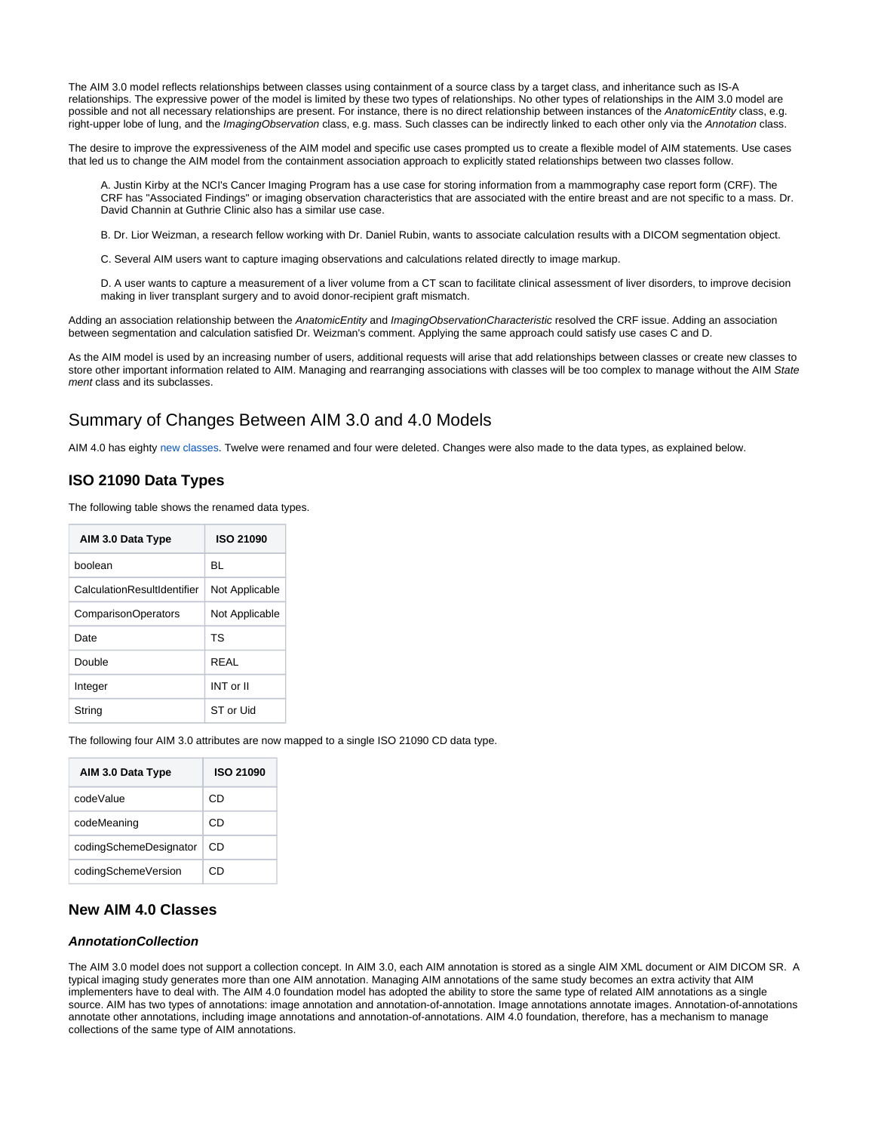The AIM 3.0 model reflects relationships between classes using containment of a source class by a target class, and inheritance such as IS-A relationships. The expressive power of the model is limited by these two types of relationships. No other types of relationships in the AIM 3.0 model are possible and not all necessary relationships are present. For instance, there is no direct relationship between instances of the AnatomicEntity class, e.g. right-upper lobe of lung, and the ImagingObservation class, e.g. mass. Such classes can be indirectly linked to each other only via the Annotation class.

The desire to improve the expressiveness of the AIM model and specific use cases prompted us to create a flexible model of AIM statements. Use cases that led us to change the AIM model from the containment association approach to explicitly stated relationships between two classes follow.

A. Justin Kirby at the NCI's Cancer Imaging Program has a use case for storing information from a mammography case report form (CRF). The CRF has "Associated Findings" or imaging observation characteristics that are associated with the entire breast and are not specific to a mass. Dr. David Channin at Guthrie Clinic also has a similar use case.

B. Dr. Lior Weizman, a research fellow working with Dr. Daniel Rubin, wants to associate calculation results with a DICOM segmentation object.

C. Several AIM users want to capture imaging observations and calculations related directly to image markup.

D. A user wants to capture a measurement of a liver volume from a CT scan to facilitate clinical assessment of liver disorders, to improve decision making in liver transplant surgery and to avoid donor-recipient graft mismatch.

Adding an association relationship between the AnatomicEntity and ImagingObservationCharacteristic resolved the CRF issue. Adding an association between segmentation and calculation satisfied Dr. Weizman's comment. Applying the same approach could satisfy use cases C and D.

As the AIM model is used by an increasing number of users, additional requests will arise that add relationships between classes or create new classes to store other important information related to AIM. Managing and rearranging associations with classes will be too complex to manage without the AIM State ment class and its subclasses.

# <span id="page-2-0"></span>Summary of Changes Between AIM 3.0 and 4.0 Models

AIM 4.0 has eighty [new classes](#page-2-2). Twelve were renamed and four were deleted. Changes were also made to the data types, as explained below.

# <span id="page-2-1"></span>**ISO 21090 Data Types**

The following table shows the renamed data types.

| AIM 3.0 Data Type           | ISO 21090      |
|-----------------------------|----------------|
| boolean                     | BL             |
| CalculationResultIdentifier | Not Applicable |
| <b>ComparisonOperators</b>  | Not Applicable |
| Date                        | ΤS             |
| Double                      | RFAI           |
| Integer                     | INT or II      |
| String                      | ST or Uid      |

The following four AIM 3.0 attributes are now mapped to a single ISO 21090 CD data type.

| AIM 3.0 Data Type      | ISO 21090 |
|------------------------|-----------|
| codeValue              | CD        |
| codeMeaning            | CD        |
| codingSchemeDesignator | CD        |
| codingSchemeVersion    | €         |

# <span id="page-2-2"></span>**New AIM 4.0 Classes**

# <span id="page-2-3"></span>**AnnotationCollection**

The AIM 3.0 model does not support a collection concept. In AIM 3.0, each AIM annotation is stored as a single AIM XML document or AIM DICOM SR. A typical imaging study generates more than one AIM annotation. Managing AIM annotations of the same study becomes an extra activity that AIM implementers have to deal with. The AIM 4.0 foundation model has adopted the ability to store the same type of related AIM annotations as a single source. AIM has two types of annotations: image annotation and annotation-of-annotation. Image annotations annotate images. Annotation-of-annotations annotate other annotations, including image annotations and annotation-of-annotations. AIM 4.0 foundation, therefore, has a mechanism to manage collections of the same type of AIM annotations.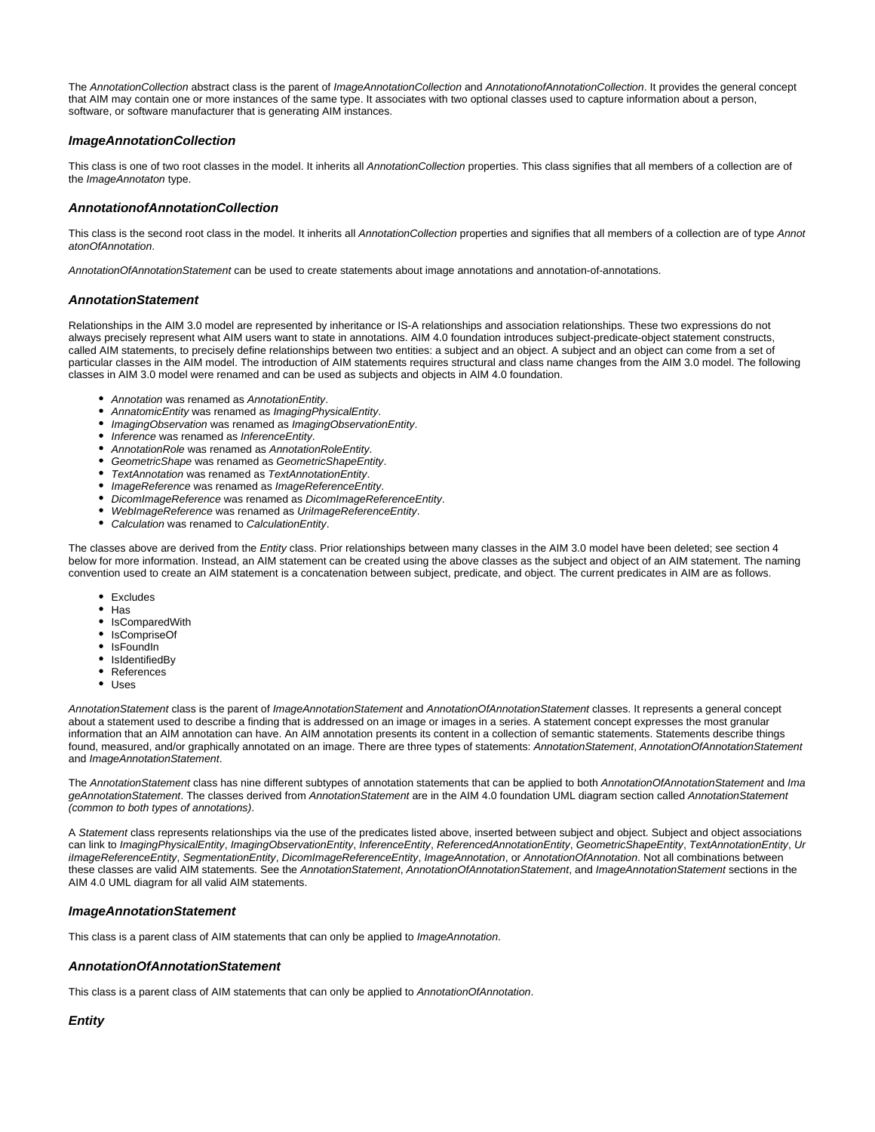The AnnotationCollection abstract class is the parent of ImageAnnotationCollection and AnnotationofAnnotationCollection. It provides the general concept that AIM may contain one or more instances of the same type. It associates with two optional classes used to capture information about a person, software, or software manufacturer that is generating AIM instances.

# <span id="page-3-0"></span>**ImageAnnotationCollection**

This class is one of two root classes in the model. It inherits all AnnotationCollection properties. This class signifies that all members of a collection are of the *ImageAnnotaton* type.

### <span id="page-3-1"></span>**AnnotationofAnnotationCollection**

This class is the second root class in the model. It inherits all AnnotationCollection properties and signifies that all members of a collection are of type Annot atonOfAnnotation.

AnnotationOfAnnotationStatement can be used to create statements about image annotations and annotation-of-annotations.

#### <span id="page-3-2"></span>**AnnotationStatement**

Relationships in the AIM 3.0 model are represented by inheritance or IS-A relationships and association relationships. These two expressions do not always precisely represent what AIM users want to state in annotations. AIM 4.0 foundation introduces subject-predicate-object statement constructs, called AIM statements, to precisely define relationships between two entities: a subject and an object. A subject and an object can come from a set of particular classes in the AIM model. The introduction of AIM statements requires structural and class name changes from the AIM 3.0 model. The following classes in AIM 3.0 model were renamed and can be used as subjects and objects in AIM 4.0 foundation.

- Annotation was renamed as AnnotationEntity.
- AnnatomicEntity was renamed as ImagingPhysicalEntity.
- ImagingObservation was renamed as ImagingObservationEntity.
- Inference was renamed as InferenceEntity.
- AnnotationRole was renamed as AnnotationRoleEntity.
- GeometricShape was renamed as GeometricShapeEntity.
- TextAnnotation was renamed as TextAnnotationEntity.
- ImageReference was renamed as ImageReferenceEntity.
- DicomImageReference was renamed as DicomImageReferenceEntity.
- WebImageReference was renamed as UriImageReferenceEntity.
- Calculation was renamed to CalculationEntity.  $\bullet$

The classes above are derived from the Entity class. Prior relationships between many classes in the AIM 3.0 model have been deleted; see section 4 below for more information. Instead, an AIM statement can be created using the above classes as the subject and object of an AIM statement. The naming convention used to create an AIM statement is a concatenation between subject, predicate, and object. The current predicates in AIM are as follows.

- Excludes
- Has
- IsComparedWith
- IsCompriseOf
- IsFoundIn
- IsIdentifiedBy
- References
- Uses

AnnotationStatement class is the parent of ImageAnnotationStatement and AnnotationOfAnnotationStatement classes. It represents a general concept about a statement used to describe a finding that is addressed on an image or images in a series. A statement concept expresses the most granular information that an AIM annotation can have. An AIM annotation presents its content in a collection of semantic statements. Statements describe things found, measured, and/or graphically annotated on an image. There are three types of statements: AnnotationStatement, AnnotationOfAnnotationStatement and ImageAnnotationStatement.

The AnnotationStatement class has nine different subtypes of annotation statements that can be applied to both AnnotationOfAnnotationStatement and Ima geAnnotationStatement. The classes derived from AnnotationStatement are in the AIM 4.0 foundation UML diagram section called AnnotationStatement (common to both types of annotations).

A Statement class represents relationships via the use of the predicates listed above, inserted between subject and object. Subject and object associations can link to ImagingPhysicalEntity, ImagingObservationEntity, InferenceEntity, ReferencedAnnotationEntity, GeometricShapeEntity, TextAnnotationEntity, Ur ilmageReferenceEntity, SegmentationEntity, DicomImageReferenceEntity, ImageAnnotation, or AnnotationOfAnnotation. Not all combinations between these classes are valid AIM statements. See the AnnotationStatement, AnnotationOfAnnotationStatement, and ImageAnnotationStatement sections in the AIM 4.0 UML diagram for all valid AIM statements.

## <span id="page-3-3"></span>**ImageAnnotationStatement**

This class is a parent class of AIM statements that can only be applied to ImageAnnotation.

#### <span id="page-3-4"></span>**AnnotationOfAnnotationStatement**

This class is a parent class of AIM statements that can only be applied to AnnotationOfAnnotation.

# <span id="page-3-5"></span>**Entity**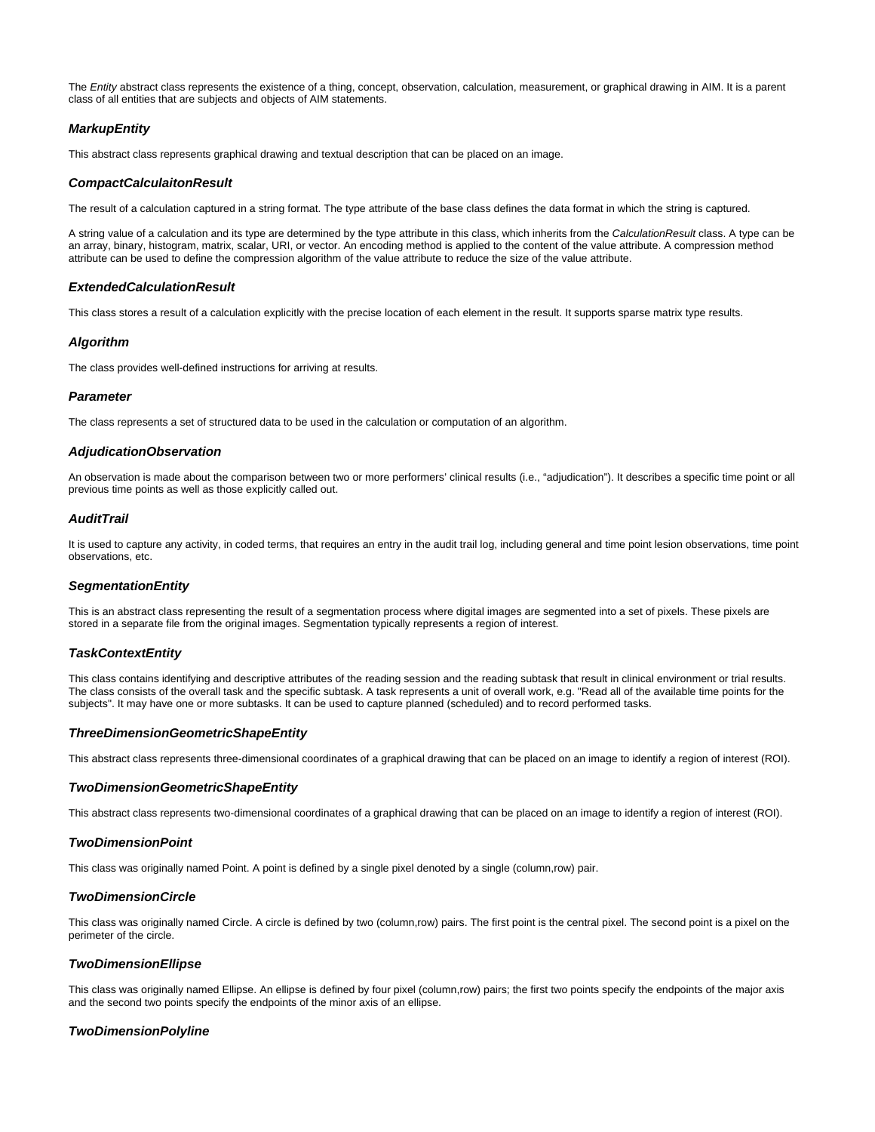The Entity abstract class represents the existence of a thing, concept, observation, calculation, measurement, or graphical drawing in AIM. It is a parent class of all entities that are subjects and objects of AIM statements.

# <span id="page-4-0"></span>**MarkupEntity**

This abstract class represents graphical drawing and textual description that can be placed on an image.

# <span id="page-4-1"></span>**CompactCalculaitonResult**

The result of a calculation captured in a string format. The type attribute of the base class defines the data format in which the string is captured.

A string value of a calculation and its type are determined by the type attribute in this class, which inherits from the CalculationResult class. A type can be an array, binary, histogram, matrix, scalar, URI, or vector. An encoding method is applied to the content of the value attribute. A compression method attribute can be used to define the compression algorithm of the value attribute to reduce the size of the value attribute.

# <span id="page-4-2"></span>**ExtendedCalculationResult**

This class stores a result of a calculation explicitly with the precise location of each element in the result. It supports sparse matrix type results.

#### <span id="page-4-3"></span>**Algorithm**

The class provides well-defined instructions for arriving at results.

#### <span id="page-4-4"></span>**Parameter**

The class represents a set of structured data to be used in the calculation or computation of an algorithm.

#### <span id="page-4-5"></span>**AdjudicationObservation**

An observation is made about the comparison between two or more performers' clinical results (i.e., "adjudication"). It describes a specific time point or all previous time points as well as those explicitly called out.

# <span id="page-4-6"></span>**AuditTrail**

It is used to capture any activity, in coded terms, that requires an entry in the audit trail log, including general and time point lesion observations, time point observations, etc.

#### <span id="page-4-7"></span>**SegmentationEntity**

This is an abstract class representing the result of a segmentation process where digital images are segmented into a set of pixels. These pixels are stored in a separate file from the original images. Segmentation typically represents a region of interest.

#### <span id="page-4-8"></span>**TaskContextEntity**

This class contains identifying and descriptive attributes of the reading session and the reading subtask that result in clinical environment or trial results. The class consists of the overall task and the specific subtask. A task represents a unit of overall work, e.g. "Read all of the available time points for the subjects". It may have one or more subtasks. It can be used to capture planned (scheduled) and to record performed tasks.

## <span id="page-4-9"></span>**ThreeDimensionGeometricShapeEntity**

This abstract class represents three-dimensional coordinates of a graphical drawing that can be placed on an image to identify a region of interest (ROI).

#### <span id="page-4-10"></span>**TwoDimensionGeometricShapeEntity**

This abstract class represents two-dimensional coordinates of a graphical drawing that can be placed on an image to identify a region of interest (ROI).

#### <span id="page-4-11"></span>**TwoDimensionPoint**

This class was originally named Point. A point is defined by a single pixel denoted by a single (column,row) pair.

#### <span id="page-4-12"></span>**TwoDimensionCircle**

This class was originally named Circle. A circle is defined by two (column,row) pairs. The first point is the central pixel. The second point is a pixel on the perimeter of the circle.

#### <span id="page-4-13"></span>**TwoDimensionEllipse**

This class was originally named Ellipse. An ellipse is defined by four pixel (column,row) pairs; the first two points specify the endpoints of the major axis and the second two points specify the endpoints of the minor axis of an ellipse.

#### <span id="page-4-14"></span>**TwoDimensionPolyline**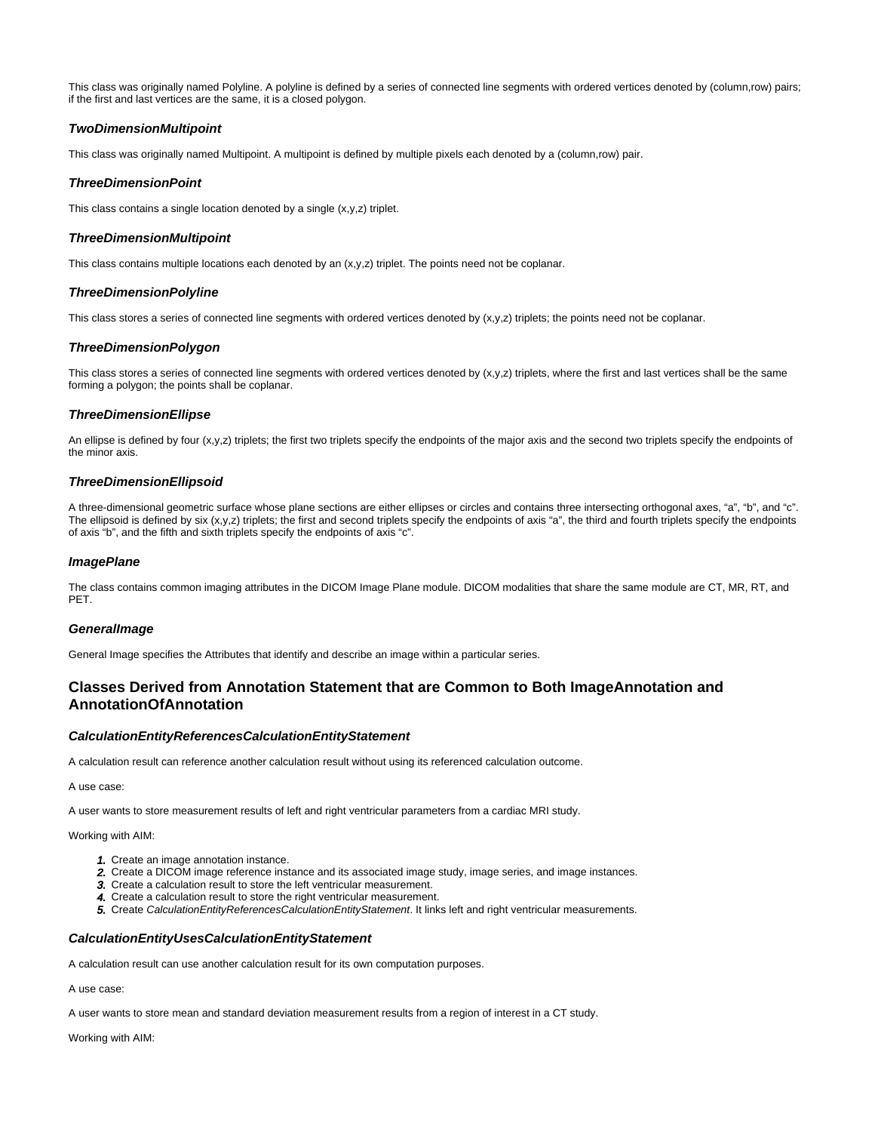This class was originally named Polyline. A polyline is defined by a series of connected line segments with ordered vertices denoted by (column,row) pairs; if the first and last vertices are the same, it is a closed polygon.

# <span id="page-5-0"></span>**TwoDimensionMultipoint**

This class was originally named Multipoint. A multipoint is defined by multiple pixels each denoted by a (column,row) pair.

# <span id="page-5-1"></span>**ThreeDimensionPoint**

This class contains a single location denoted by a single (x,y,z) triplet.

# <span id="page-5-2"></span>**ThreeDimensionMultipoint**

This class contains multiple locations each denoted by an  $(x,y,z)$  triplet. The points need not be coplanar.

# <span id="page-5-3"></span>**ThreeDimensionPolyline**

This class stores a series of connected line segments with ordered vertices denoted by (x,y,z) triplets; the points need not be coplanar.

# <span id="page-5-4"></span>**ThreeDimensionPolygon**

This class stores a series of connected line segments with ordered vertices denoted by (x,y,z) triplets, where the first and last vertices shall be the same forming a polygon; the points shall be coplanar.

# <span id="page-5-5"></span>**ThreeDimensionEllipse**

An ellipse is defined by four (x,y,z) triplets; the first two triplets specify the endpoints of the major axis and the second two triplets specify the endpoints of the minor axis.

# <span id="page-5-6"></span>**ThreeDimensionEllipsoid**

A three-dimensional geometric surface whose plane sections are either ellipses or circles and contains three intersecting orthogonal axes, "a", "b", and "c". The ellipsoid is defined by six (x,y,z) triplets; the first and second triplets specify the endpoints of axis "a", the third and fourth triplets specify the endpoints of axis "b", and the fifth and sixth triplets specify the endpoints of axis "c".

# <span id="page-5-7"></span>**ImagePlane**

The class contains common imaging attributes in the DICOM Image Plane module. DICOM modalities that share the same module are CT, MR, RT, and PET.

# <span id="page-5-8"></span>**GeneralImage**

General Image specifies the Attributes that identify and describe an image within a particular series.

# <span id="page-5-9"></span>**Classes Derived from Annotation Statement that are Common to Both ImageAnnotation and AnnotationOfAnnotation**

# <span id="page-5-10"></span>**CalculationEntityReferencesCalculationEntityStatement**

A calculation result can reference another calculation result without using its referenced calculation outcome.

A use case:

A user wants to store measurement results of left and right ventricular parameters from a cardiac MRI study.

Working with AIM:

- 1. Create an image annotation instance.
- 2. Create a DICOM image reference instance and its associated image study, image series, and image instances.
- 3. Create a calculation result to store the left ventricular measurement.
- 4. Create a calculation result to store the right ventricular measurement.
- 5. Create CalculationEntityReferencesCalculationEntityStatement. It links left and right ventricular measurements.

# <span id="page-5-11"></span>**CalculationEntityUsesCalculationEntityStatement**

A calculation result can use another calculation result for its own computation purposes.

A use case:

A user wants to store mean and standard deviation measurement results from a region of interest in a CT study.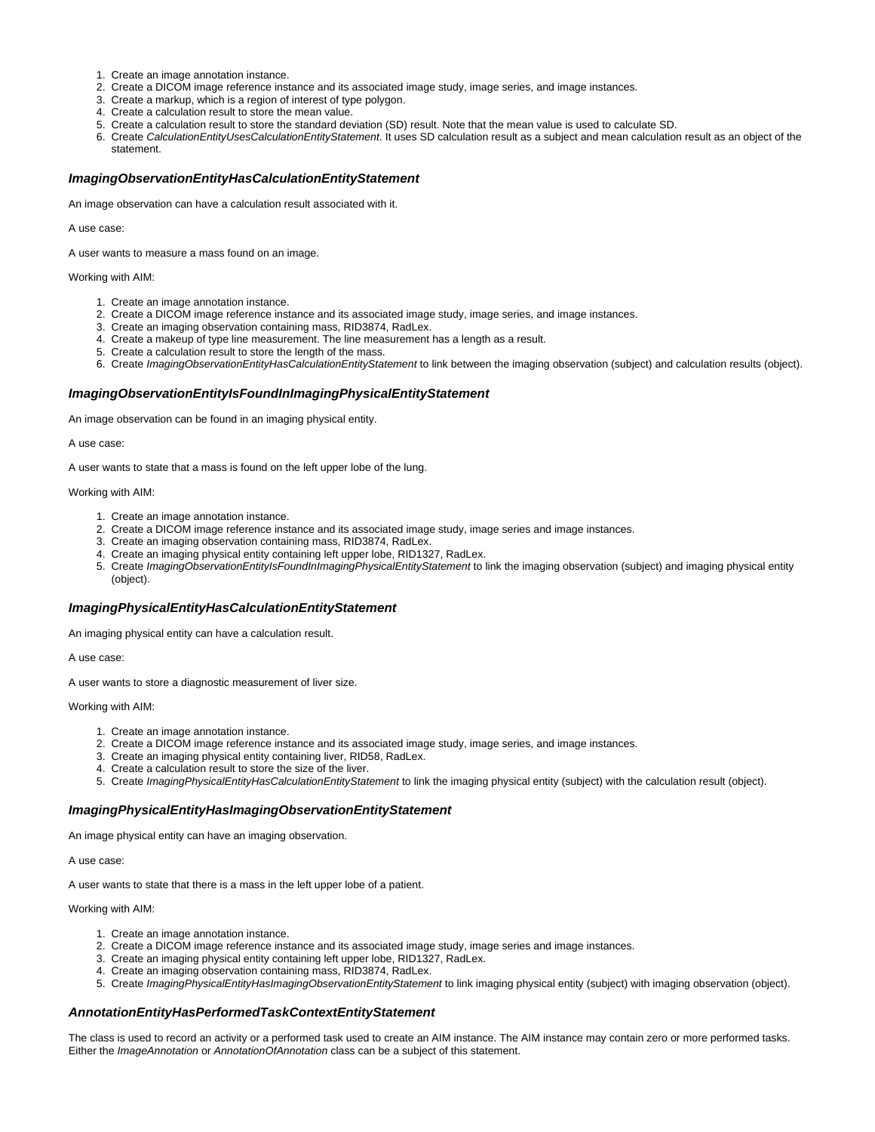- 1. Create an image annotation instance.
- 2. Create a DICOM image reference instance and its associated image study, image series, and image instances.
- 3. Create a markup, which is a region of interest of type polygon.
- 4. Create a calculation result to store the mean value.
- 5. Create a calculation result to store the standard deviation (SD) result. Note that the mean value is used to calculate SD.
- 6. Create CalculationEntityUsesCalculationEntityStatement. It uses SD calculation result as a subject and mean calculation result as an object of the statement.

# <span id="page-6-0"></span>**ImagingObservationEntityHasCalculationEntityStatement**

An image observation can have a calculation result associated with it.

A use case:

A user wants to measure a mass found on an image.

Working with AIM:

- 1. Create an image annotation instance.
- 2. Create a DICOM image reference instance and its associated image study, image series, and image instances.
- 3. Create an imaging observation containing mass, RID3874, RadLex.
- 4. Create a makeup of type line measurement. The line measurement has a length as a result.
- 5. Create a calculation result to store the length of the mass.
- 6. Create ImagingObservationEntityHasCalculationEntityStatement to link between the imaging observation (subject) and calculation results (object).

# <span id="page-6-1"></span>**ImagingObservationEntityIsFoundInImagingPhysicalEntityStatement**

An image observation can be found in an imaging physical entity.

A use case:

A user wants to state that a mass is found on the left upper lobe of the lung.

#### Working with AIM:

- 1. Create an image annotation instance.
- 2. Create a DICOM image reference instance and its associated image study, image series and image instances.
- 3. Create an imaging observation containing mass, RID3874, RadLex.
- 4. Create an imaging physical entity containing left upper lobe, RID1327, RadLex.
- 5. Create ImagingObservationEntityIsFoundInImagingPhysicalEntityStatement to link the imaging observation (subject) and imaging physical entity (object).

### <span id="page-6-2"></span>**ImagingPhysicalEntityHasCalculationEntityStatement**

An imaging physical entity can have a calculation result.

A use case:

A user wants to store a diagnostic measurement of liver size.

Working with AIM:

- 1. Create an image annotation instance.
- 2. Create a DICOM image reference instance and its associated image study, image series, and image instances.
- 3. Create an imaging physical entity containing liver, RID58, RadLex.
- 4. Create a calculation result to store the size of the liver.
- 5. Create ImagingPhysicalEntityHasCalculationEntityStatement to link the imaging physical entity (subject) with the calculation result (object).

#### <span id="page-6-3"></span>**ImagingPhysicalEntityHasImagingObservationEntityStatement**

An image physical entity can have an imaging observation.

A use case:

A user wants to state that there is a mass in the left upper lobe of a patient.

#### Working with AIM:

- 1. Create an image annotation instance.
- 2. Create a DICOM image reference instance and its associated image study, image series and image instances.
- 3. Create an imaging physical entity containing left upper lobe, RID1327, RadLex.
- 4. Create an imaging observation containing mass, RID3874, RadLex.
- 5. Create ImagingPhysicalEntityHasImagingObservationEntityStatement to link imaging physical entity (subject) with imaging observation (object).

# <span id="page-6-4"></span>**AnnotationEntityHasPerformedTaskContextEntityStatement**

The class is used to record an activity or a performed task used to create an AIM instance. The AIM instance may contain zero or more performed tasks. Either the ImageAnnotation or AnnotationOfAnnotation class can be a subject of this statement.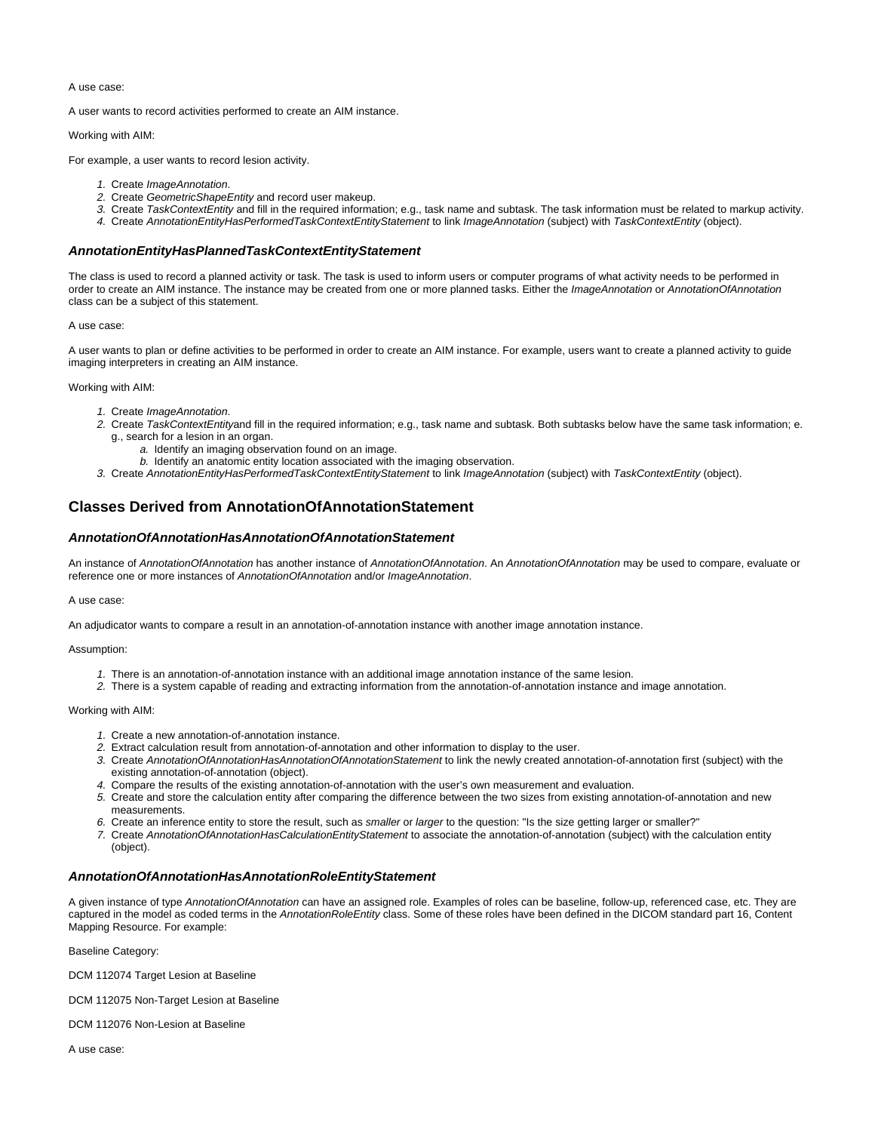A use case:

A user wants to record activities performed to create an AIM instance.

Working with AIM:

For example, a user wants to record lesion activity.

- 1. Create ImageAnnotation.
- 2. Create GeometricShapeEntity and record user makeup.
- 3. Create TaskContextEntity and fill in the required information; e.g., task name and subtask. The task information must be related to markup activity.
- 4. Create AnnotationEntityHasPerformedTaskContextEntityStatement to link ImageAnnotation (subject) with TaskContextEntity (object).

# <span id="page-7-0"></span>**AnnotationEntityHasPlannedTaskContextEntityStatement**

The class is used to record a planned activity or task. The task is used to inform users or computer programs of what activity needs to be performed in order to create an AIM instance. The instance may be created from one or more planned tasks. Either the ImageAnnotation or AnnotationOfAnnotation class can be a subject of this statement.

#### A use case:

A user wants to plan or define activities to be performed in order to create an AIM instance. For example, users want to create a planned activity to guide imaging interpreters in creating an AIM instance.

#### Working with AIM:

- 1. Create ImageAnnotation.
- 2. Create TaskContextEntityand fill in the required information; e.g., task name and subtask. Both subtasks below have the same task information; e. g., search for a lesion in an organ.
	- a. Identify an imaging observation found on an image.
	- b. Identify an anatomic entity location associated with the imaging observation.
- 3. Create AnnotationEntityHasPerformedTaskContextEntityStatement to link ImageAnnotation (subject) with TaskContextEntity (object).

# <span id="page-7-1"></span>**Classes Derived from AnnotationOfAnnotationStatement**

### <span id="page-7-2"></span>**AnnotationOfAnnotationHasAnnotationOfAnnotationStatement**

An instance of AnnotationOfAnnotation has another instance of AnnotationOfAnnotation. An AnnotationOfAnnotation may be used to compare, evaluate or reference one or more instances of AnnotationOfAnnotation and/or ImageAnnotation.

#### A use case:

An adjudicator wants to compare a result in an annotation-of-annotation instance with another image annotation instance.

#### Assumption:

- 1. There is an annotation-of-annotation instance with an additional image annotation instance of the same lesion.
- 2. There is a system capable of reading and extracting information from the annotation-of-annotation instance and image annotation.

Working with AIM:

- 1. Create a new annotation-of-annotation instance.
- 2. Extract calculation result from annotation-of-annotation and other information to display to the user.
- 3. Create AnnotationOfAnnotationHasAnnotationOfAnnotationStatement to link the newly created annotation-of-annotation first (subject) with the existing annotation-of-annotation (object).
- 4. Compare the results of the existing annotation-of-annotation with the user's own measurement and evaluation.
- 5. Create and store the calculation entity after comparing the difference between the two sizes from existing annotation-of-annotation and new measurements.
- 6. Create an inference entity to store the result, such as smaller or larger to the question: "Is the size getting larger or smaller?"
- 7. Create AnnotationOfAnnotationHasCalculationEntityStatement to associate the annotation-of-annotation (subject) with the calculation entity (object).

# <span id="page-7-3"></span>**AnnotationOfAnnotationHasAnnotationRoleEntityStatement**

A given instance of type AnnotationOfAnnotation can have an assigned role. Examples of roles can be baseline, follow-up, referenced case, etc. They are captured in the model as coded terms in the AnnotationRoleEntity class. Some of these roles have been defined in the DICOM standard part 16, Content Mapping Resource. For example:

Baseline Category:

DCM 112074 Target Lesion at Baseline

DCM 112075 Non-Target Lesion at Baseline

DCM 112076 Non-Lesion at Baseline

A use case: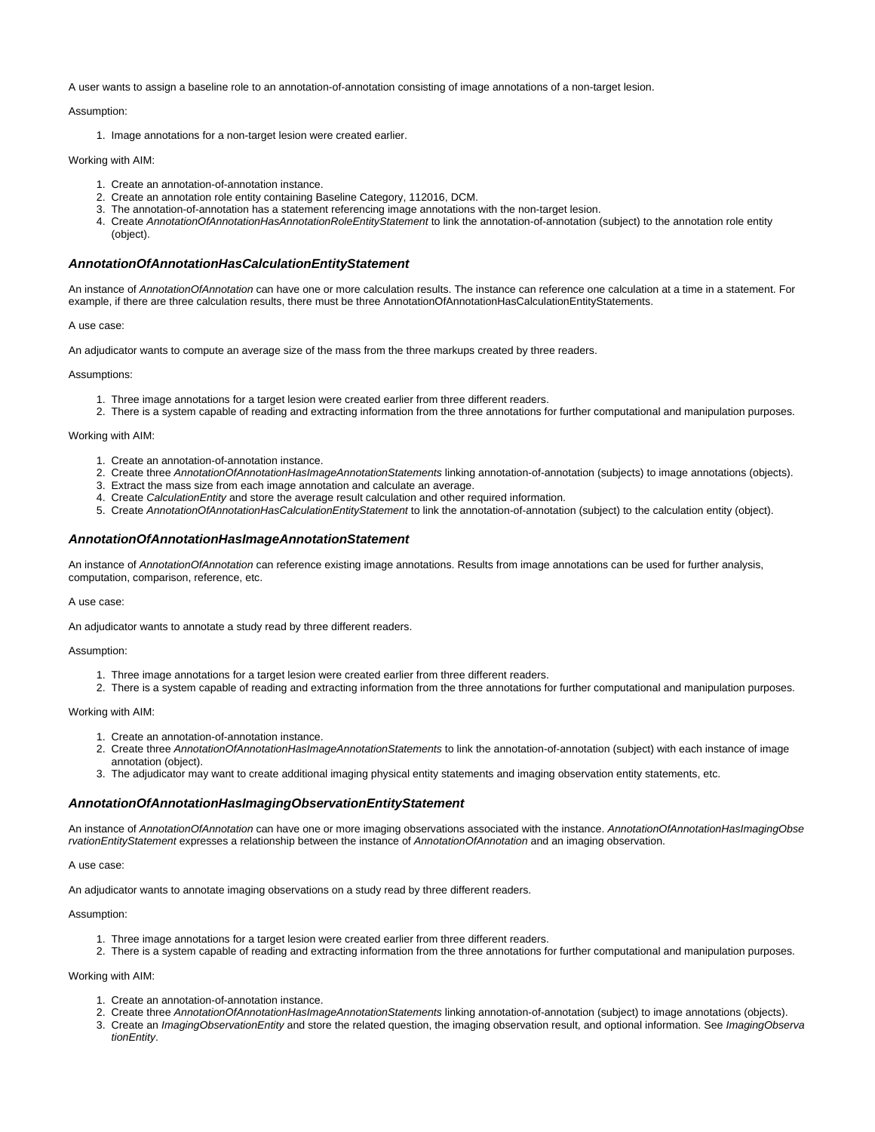A user wants to assign a baseline role to an annotation-of-annotation consisting of image annotations of a non-target lesion.

### Assumption:

1. Image annotations for a non-target lesion were created earlier.

#### Working with AIM:

- 1. Create an annotation-of-annotation instance.
- 2. Create an annotation role entity containing Baseline Category, 112016, DCM.
- 3. The annotation-of-annotation has a statement referencing image annotations with the non-target lesion.
- 4. Create AnnotationOfAnnotationHasAnnotationRoleEntityStatement to link the annotation-of-annotation (subject) to the annotation role entity (object).

### <span id="page-8-0"></span>**AnnotationOfAnnotationHasCalculationEntityStatement**

An instance of AnnotationOfAnnotation can have one or more calculation results. The instance can reference one calculation at a time in a statement. For example, if there are three calculation results, there must be three AnnotationOfAnnotationHasCalculationEntityStatements.

#### A use case:

An adjudicator wants to compute an average size of the mass from the three markups created by three readers.

Assumptions:

- 1. Three image annotations for a target lesion were created earlier from three different readers.
- 2. There is a system capable of reading and extracting information from the three annotations for further computational and manipulation purposes.

#### Working with AIM:

- 1. Create an annotation-of-annotation instance.
- 2. Create three AnnotationOfAnnotationHasImageAnnotationStatements linking annotation-of-annotation (subjects) to image annotations (objects).
- 3. Extract the mass size from each image annotation and calculate an average.
- 4. Create CalculationEntity and store the average result calculation and other required information.
- 5. Create AnnotationOfAnnotationHasCalculationEntityStatement to link the annotation-of-annotation (subject) to the calculation entity (object).

### <span id="page-8-1"></span>**AnnotationOfAnnotationHasImageAnnotationStatement**

An instance of AnnotationOfAnnotation can reference existing image annotations. Results from image annotations can be used for further analysis, computation, comparison, reference, etc.

#### A use case:

An adjudicator wants to annotate a study read by three different readers.

#### Assumption:

- 1. Three image annotations for a target lesion were created earlier from three different readers.
- 2. There is a system capable of reading and extracting information from the three annotations for further computational and manipulation purposes.

#### Working with AIM:

- 1. Create an annotation-of-annotation instance.
- 2. Create three AnnotationOfAnnotationHasImageAnnotationStatements to link the annotation-of-annotation (subject) with each instance of image annotation (object).
- 3. The adjudicator may want to create additional imaging physical entity statements and imaging observation entity statements, etc.

# <span id="page-8-2"></span>**AnnotationOfAnnotationHasImagingObservationEntityStatement**

An instance of AnnotationOfAnnotation can have one or more imaging observations associated with the instance. AnnotationOfAnnotationHasImagingObse rvationEntityStatement expresses a relationship between the instance of AnnotationOfAnnotation and an imaging observation.

#### A use case:

An adjudicator wants to annotate imaging observations on a study read by three different readers.

#### Assumption:

- 1. Three image annotations for a target lesion were created earlier from three different readers.
- 2. There is a system capable of reading and extracting information from the three annotations for further computational and manipulation purposes.

- 1. Create an annotation-of-annotation instance.
- 2. Create three AnnotationOfAnnotationHasImageAnnotationStatements linking annotation-of-annotation (subject) to image annotations (objects).
- 3. Create an ImagingObservationEntity and store the related question, the imaging observation result, and optional information. See ImagingObserva tionEntity.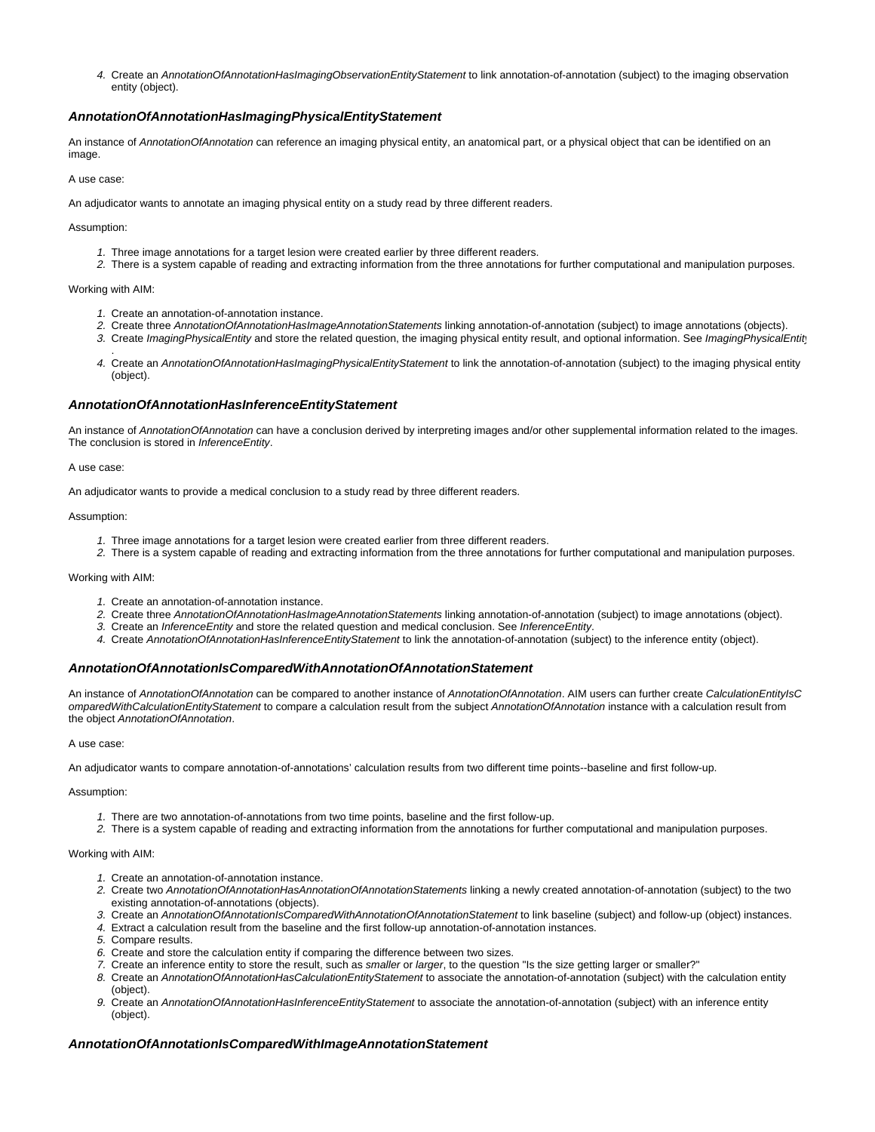4. Create an AnnotationOfAnnotationHasImagingObservationEntityStatement to link annotation-of-annotation (subject) to the imaging observation entity (object).

# <span id="page-9-0"></span>**AnnotationOfAnnotationHasImagingPhysicalEntityStatement**

An instance of AnnotationOfAnnotation can reference an imaging physical entity, an anatomical part, or a physical object that can be identified on an image

#### A use case:

An adjudicator wants to annotate an imaging physical entity on a study read by three different readers.

Assumption:

- 1. Three image annotations for a target lesion were created earlier by three different readers.
- 2. There is a system capable of reading and extracting information from the three annotations for further computational and manipulation purposes.

Working with AIM:

- 1. Create an annotation-of-annotation instance.
- 2. Create three AnnotationOfAnnotationHasImageAnnotationStatements linking annotation-of-annotation (subject) to image annotations (objects).
- 3. Create ImagingPhysicalEntity and store the related question, the imaging physical entity result, and optional information. See ImagingPhysicalEntit .
- 4. Create an AnnotationOfAnnotationHasImagingPhysicalEntityStatement to link the annotation-of-annotation (subject) to the imaging physical entity (object).

### <span id="page-9-1"></span>**AnnotationOfAnnotationHasInferenceEntityStatement**

An instance of AnnotationOfAnnotation can have a conclusion derived by interpreting images and/or other supplemental information related to the images. The conclusion is stored in InferenceEntity.

#### A use case:

An adjudicator wants to provide a medical conclusion to a study read by three different readers.

#### Assumption:

- 1. Three image annotations for a target lesion were created earlier from three different readers.
- 2. There is a system capable of reading and extracting information from the three annotations for further computational and manipulation purposes.

#### Working with AIM:

- 1. Create an annotation-of-annotation instance.
- 2. Create three AnnotationOfAnnotationHasImageAnnotationStatements linking annotation-of-annotation (subject) to image annotations (object).
- 3. Create an InferenceEntity and store the related question and medical conclusion. See InferenceEntity.
- 4. Create AnnotationOfAnnotationHasInferenceEntityStatement to link the annotation-of-annotation (subject) to the inference entity (object).

#### <span id="page-9-2"></span>**AnnotationOfAnnotationIsComparedWithAnnotationOfAnnotationStatement**

An instance of AnnotationOfAnnotation can be compared to another instance of AnnotationOfAnnotation. AIM users can further create CalculationEntityIsC omparedWithCalculationEntityStatement to compare a calculation result from the subject AnnotationOfAnnotation instance with a calculation result from the object AnnotationOfAnnotation.

#### A use case:

An adjudicator wants to compare annotation-of-annotations' calculation results from two different time points--baseline and first follow-up.

#### Assumption:

- 1. There are two annotation-of-annotations from two time points, baseline and the first follow-up.
- 2. There is a system capable of reading and extracting information from the annotations for further computational and manipulation purposes.

#### Working with AIM:

- 1. Create an annotation-of-annotation instance.
- 2. Create two AnnotationOfAnnotationHasAnnotationOfAnnotationStatements linking a newly created annotation-of-annotation (subject) to the two existing annotation-of-annotations (objects).
- 3. Create an AnnotationOfAnnotationIsComparedWithAnnotationOfAnnotationStatement to link baseline (subject) and follow-up (object) instances.
- 4. Extract a calculation result from the baseline and the first follow-up annotation-of-annotation instances.
- 5. Compare results.
- 6. Create and store the calculation entity if comparing the difference between two sizes.
- 7. Create an inference entity to store the result, such as smaller or larger, to the question "Is the size getting larger or smaller?"
- 8. Create an AnnotationOfAnnotationHasCalculationEntityStatement to associate the annotation-of-annotation (subject) with the calculation entity (object).
- 9. Create an AnnotationOfAnnotationHasInferenceEntityStatement to associate the annotation-of-annotation (subject) with an inference entity (object).

### <span id="page-9-3"></span>**AnnotationOfAnnotationIsComparedWithImageAnnotationStatement**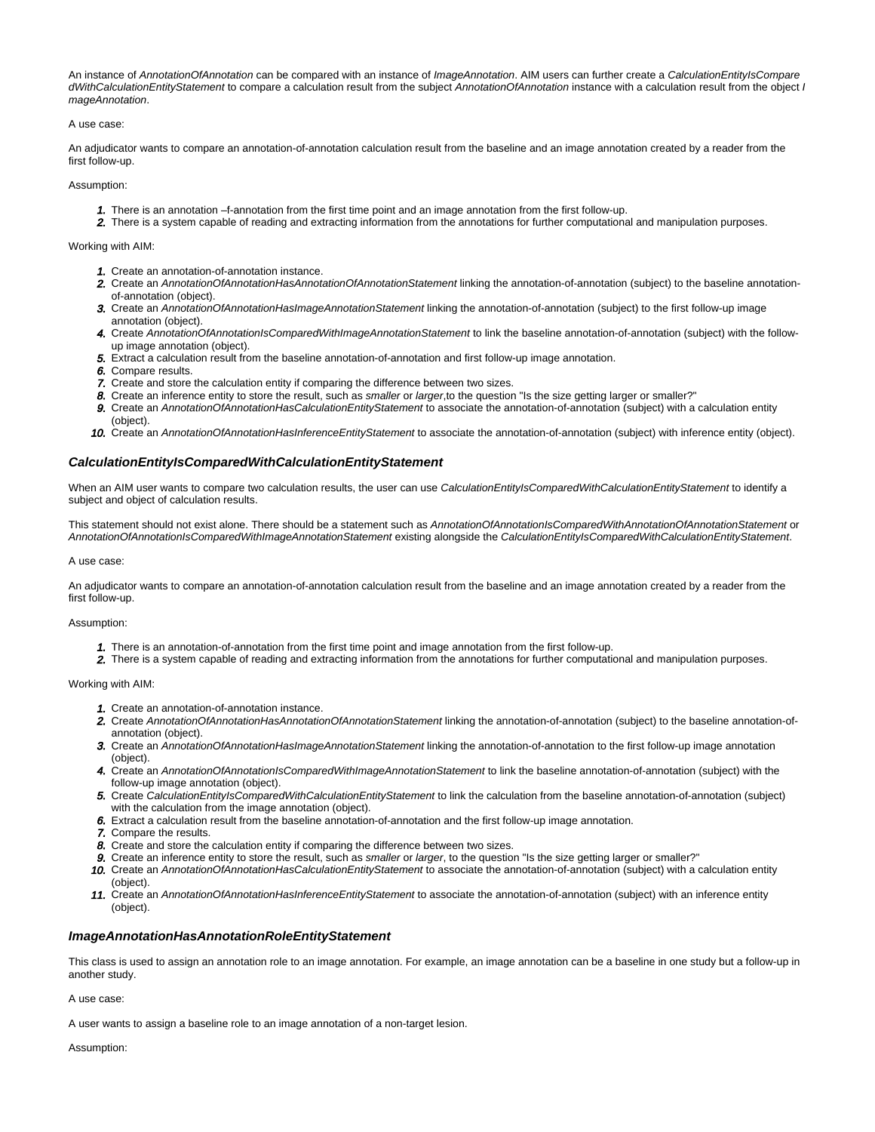An instance of AnnotationOfAnnotation can be compared with an instance of ImageAnnotation. AIM users can further create a CalculationEntityIsCompare dWithCalculationEntityStatement to compare a calculation result from the subject AnnotationOfAnnotation instance with a calculation result from the object I mageAnnotation.

#### A use case:

An adjudicator wants to compare an annotation-of-annotation calculation result from the baseline and an image annotation created by a reader from the first follow-up.

Assumption:

- 1. There is an annotation –f-annotation from the first time point and an image annotation from the first follow-up.
- 2. There is a system capable of reading and extracting information from the annotations for further computational and manipulation purposes.

#### Working with AIM:

- 1. Create an annotation-of-annotation instance.
- 2. Create an AnnotationOfAnnotationHasAnnotationOfAnnotationStatement linking the annotation-of-annotation (subject) to the baseline annotationof-annotation (object).
- 3. Create an AnnotationOfAnnotationHasImageAnnotationStatement linking the annotation-of-annotation (subject) to the first follow-up image annotation (object).
- 4. Create AnnotationOfAnnotationIsComparedWithImageAnnotationStatement to link the baseline annotation-of-annotation (subject) with the followup image annotation (object).
- 5. Extract a calculation result from the baseline annotation-of-annotation and first follow-up image annotation.
- 6. Compare results.
- 7. Create and store the calculation entity if comparing the difference between two sizes.
- 8. Create an inference entity to store the result, such as smaller or larger, to the question "Is the size getting larger or smaller?"
- 9. Create an AnnotationOfAnnotationHasCalculationEntityStatement to associate the annotation-of-annotation (subject) with a calculation entity (object).
- 10. Create an AnnotationOfAnnotationHasInferenceEntityStatement to associate the annotation-of-annotation (subject) with inference entity (object).

# <span id="page-10-0"></span>**CalculationEntityIsComparedWithCalculationEntityStatement**

When an AIM user wants to compare two calculation results, the user can use CalculationEntityIsComparedWithCalculationEntityStatement to identify a subject and object of calculation results.

This statement should not exist alone. There should be a statement such as AnnotationOfAnnotationIsComparedWithAnnotationOfAnnotationStatement or AnnotationOfAnnotationIsComparedWithImageAnnotationStatement existing alongside the CalculationEntityIsComparedWithCalculationEntityStatement.

#### A use case:

An adjudicator wants to compare an annotation-of-annotation calculation result from the baseline and an image annotation created by a reader from the first follow-up.

#### Assumption:

- 1. There is an annotation-of-annotation from the first time point and image annotation from the first follow-up.
- 2. There is a system capable of reading and extracting information from the annotations for further computational and manipulation purposes.

Working with AIM:

- 1. Create an annotation-of-annotation instance.
- 2. Create AnnotationOfAnnotationHasAnnotationOfAnnotationStatement linking the annotation-of-annotation (subject) to the baseline annotation-ofannotation (object).
- 3. Create an AnnotationOfAnnotationHasImageAnnotationStatement linking the annotation-of-annotation to the first follow-up image annotation (object).
- 4. Create an AnnotationOfAnnotationIsComparedWithImageAnnotationStatement to link the baseline annotation-of-annotation (subject) with the follow-up image annotation (object).
- 5. Create CalculationEntityIsComparedWithCalculationEntityStatement to link the calculation from the baseline annotation-of-annotation (subject) with the calculation from the image annotation (object).
- 6. Extract a calculation result from the baseline annotation-of-annotation and the first follow-up image annotation.
- 7. Compare the results.
- 8. Create and store the calculation entity if comparing the difference between two sizes.
- 9. Create an inference entity to store the result, such as smaller or larger, to the question "Is the size getting larger or smaller?"
- 10. Create an AnnotationOfAnnotationHasCalculationEntityStatement to associate the annotation-of-annotation (subject) with a calculation entity (object).
- 11. Create an AnnotationOfAnnotationHasInferenceEntityStatement to associate the annotation-of-annotation (subject) with an inference entity (object).

# <span id="page-10-1"></span>**ImageAnnotationHasAnnotationRoleEntityStatement**

This class is used to assign an annotation role to an image annotation. For example, an image annotation can be a baseline in one study but a follow-up in another study.

A use case:

A user wants to assign a baseline role to an image annotation of a non-target lesion.

Assumption: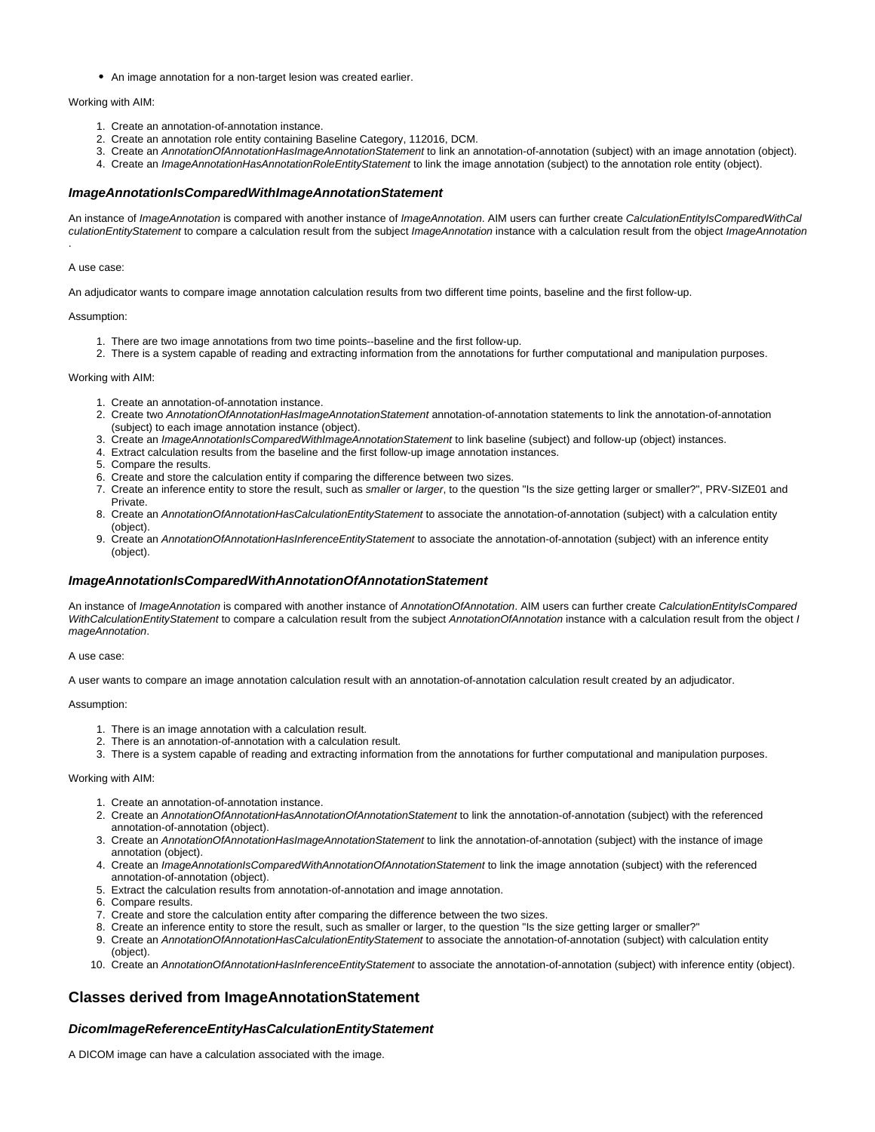An image annotation for a non-target lesion was created earlier.

Working with AIM:

- 1. Create an annotation-of-annotation instance.
- 2. Create an annotation role entity containing Baseline Category, 112016, DCM.
- 3. Create an AnnotationOfAnnotationHasImageAnnotationStatement to link an annotation-of-annotation (subject) with an image annotation (object).
- 4. Create an ImageAnnotationHasAnnotationRoleEntityStatement to link the image annotation (subject) to the annotation role entity (object).

### <span id="page-11-0"></span>**ImageAnnotationIsComparedWithImageAnnotationStatement**

An instance of ImageAnnotation is compared with another instance of ImageAnnotation. AIM users can further create CalculationEntityIsComparedWithCal culationEntityStatement to compare a calculation result from the subject ImageAnnotation instance with a calculation result from the object ImageAnnotation

#### A use case:

.

An adjudicator wants to compare image annotation calculation results from two different time points, baseline and the first follow-up.

#### Assumption:

- 1. There are two image annotations from two time points--baseline and the first follow-up.
- 2. There is a system capable of reading and extracting information from the annotations for further computational and manipulation purposes.

#### Working with AIM:

- 1. Create an annotation-of-annotation instance.
- 2. Create two AnnotationOfAnnotationHasImageAnnotationStatement annotation-of-annotation statements to link the annotation-of-annotation (subject) to each image annotation instance (object).
- 3. Create an ImageAnnotationIsComparedWithImageAnnotationStatement to link baseline (subject) and follow-up (object) instances.
- 4. Extract calculation results from the baseline and the first follow-up image annotation instances.
- 5. Compare the results.
- 6. Create and store the calculation entity if comparing the difference between two sizes.
- 7. Create an inference entity to store the result, such as smaller or larger, to the question "Is the size getting larger or smaller?", PRV-SIZE01 and Private.
- 8. Create an AnnotationOfAnnotationHasCalculationEntityStatement to associate the annotation-of-annotation (subject) with a calculation entity (object).
- 9. Create an AnnotationOfAnnotationHasInferenceEntityStatement to associate the annotation-of-annotation (subject) with an inference entity (object).

#### <span id="page-11-1"></span>**ImageAnnotationIsComparedWithAnnotationOfAnnotationStatement**

An instance of ImageAnnotation is compared with another instance of AnnotationOfAnnotation. AIM users can further create CalculationEntityIsCompared WithCalculationEntityStatement to compare a calculation result from the subject AnnotationOfAnnotation instance with a calculation result from the object I mageAnnotation.

#### A use case:

A user wants to compare an image annotation calculation result with an annotation-of-annotation calculation result created by an adjudicator.

#### Assumption:

- 1. There is an image annotation with a calculation result.
- 2. There is an annotation-of-annotation with a calculation result.
- 3. There is a system capable of reading and extracting information from the annotations for further computational and manipulation purposes.

#### Working with AIM:

- 1. Create an annotation-of-annotation instance.
- 2. Create an AnnotationOfAnnotationHasAnnotationOfAnnotationStatement to link the annotation-of-annotation (subject) with the referenced annotation-of-annotation (object).
- 3. Create an AnnotationOfAnnotationHasImageAnnotationStatement to link the annotation-of-annotation (subject) with the instance of image annotation (object).
- 4. Create an ImageAnnotationIsComparedWithAnnotationOfAnnotationStatement to link the image annotation (subject) with the referenced annotation-of-annotation (object).
- 5. Extract the calculation results from annotation-of-annotation and image annotation.
- 6. Compare results.
- 7. Create and store the calculation entity after comparing the difference between the two sizes.
- 8. Create an inference entity to store the result, such as smaller or larger, to the question "Is the size getting larger or smaller?"
- 9. Create an AnnotationOfAnnotationHasCalculationEntityStatement to associate the annotation-of-annotation (subject) with calculation entity (object).
- 10. Create an AnnotationOfAnnotationHasInferenceEntityStatement to associate the annotation-of-annotation (subject) with inference entity (object).

# <span id="page-11-2"></span>**Classes derived from ImageAnnotationStatement**

# <span id="page-11-3"></span>**DicomImageReferenceEntityHasCalculationEntityStatement**

A DICOM image can have a calculation associated with the image.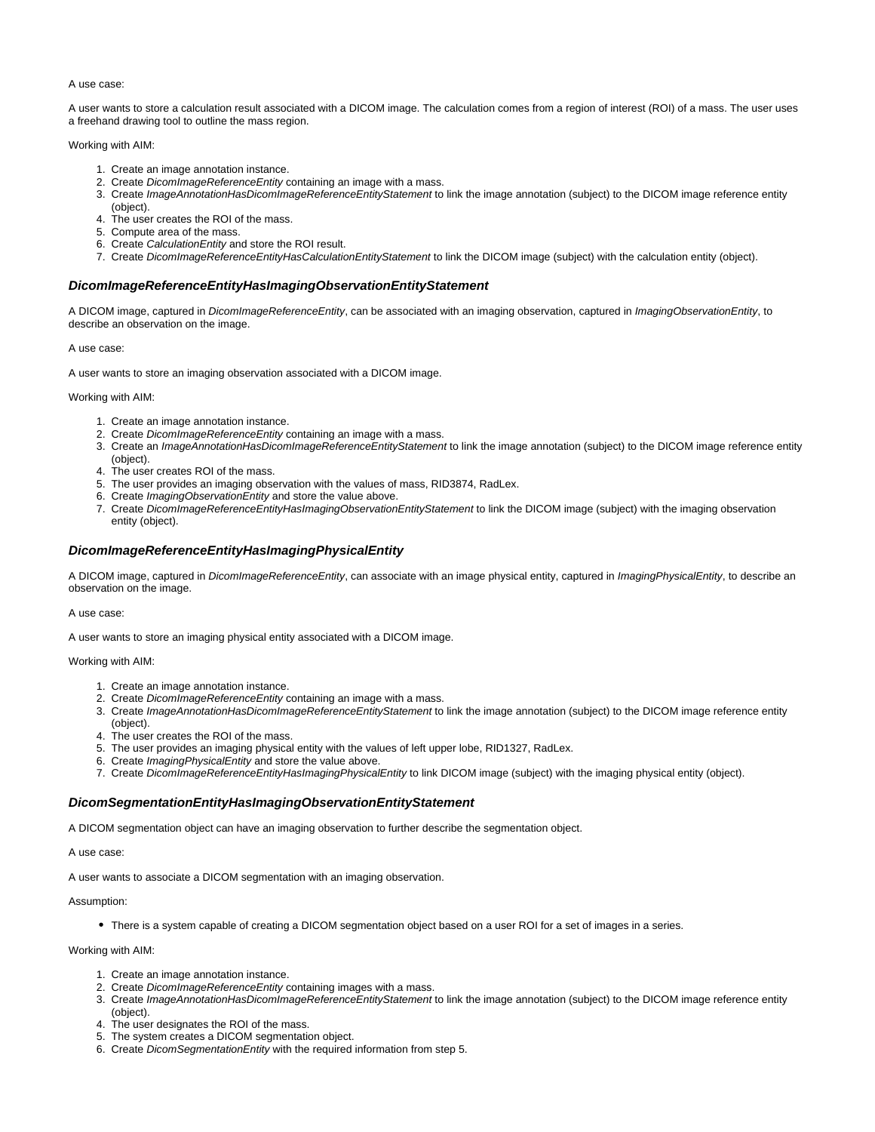A use case:

A user wants to store a calculation result associated with a DICOM image. The calculation comes from a region of interest (ROI) of a mass. The user uses a freehand drawing tool to outline the mass region.

Working with AIM:

- 1. Create an image annotation instance.
- 2. Create DicomImageReferenceEntity containing an image with a mass.
- 3. Create ImageAnnotationHasDicomImageReferenceEntityStatement to link the image annotation (subject) to the DICOM image reference entity (object).
- 4. The user creates the ROI of the mass.
- 5. Compute area of the mass.
- 6. Create CalculationEntity and store the ROI result.
- 7. Create DicomImageReferenceEntityHasCalculationEntityStatement to link the DICOM image (subject) with the calculation entity (object).

#### <span id="page-12-0"></span>**DicomImageReferenceEntityHasImagingObservationEntityStatement**

A DICOM image, captured in DicomImageReferenceEntity, can be associated with an imaging observation, captured in ImagingObservationEntity, to describe an observation on the image.

A use case:

A user wants to store an imaging observation associated with a DICOM image.

Working with AIM:

- 1. Create an image annotation instance.
- 2. Create DicomImageReferenceEntity containing an image with a mass.
- 3. Create an ImageAnnotationHasDicomImageReferenceEntityStatement to link the image annotation (subject) to the DICOM image reference entity (object).
- 4. The user creates ROI of the mass.
- 5. The user provides an imaging observation with the values of mass, RID3874, RadLex.
- 6. Create ImagingObservationEntity and store the value above.
- 7. Create DicomImageReferenceEntityHasImagingObservationEntityStatement to link the DICOM image (subject) with the imaging observation entity (object).

# <span id="page-12-1"></span>**DicomImageReferenceEntityHasImagingPhysicalEntity**

A DICOM image, captured in DicomImageReferenceEntity, can associate with an image physical entity, captured in ImagingPhysicalEntity, to describe an observation on the image.

A use case:

A user wants to store an imaging physical entity associated with a DICOM image.

Working with AIM:

- 1. Create an image annotation instance.
- 2. Create DicomImageReferenceEntity containing an image with a mass.
- 3. Create ImageAnnotationHasDicomImageReferenceEntityStatement to link the image annotation (subject) to the DICOM image reference entity (object).
- 4. The user creates the ROI of the mass.
- 5. The user provides an imaging physical entity with the values of left upper lobe, RID1327, RadLex.
- 6. Create ImagingPhysicalEntity and store the value above.
- 7. Create DicomImageReferenceEntityHasImagingPhysicalEntity to link DICOM image (subject) with the imaging physical entity (object).

#### <span id="page-12-2"></span>**DicomSegmentationEntityHasImagingObservationEntityStatement**

A DICOM segmentation object can have an imaging observation to further describe the segmentation object.

A use case:

A user wants to associate a DICOM segmentation with an imaging observation.

#### Assumption:

There is a system capable of creating a DICOM segmentation object based on a user ROI for a set of images in a series.

- 1. Create an image annotation instance.
- 2. Create DicomImageReferenceEntity containing images with a mass.
- 3. Create ImageAnnotationHasDicomImageReferenceEntityStatement to link the image annotation (subject) to the DICOM image reference entity (object).
- 4. The user designates the ROI of the mass.
- 5. The system creates a DICOM segmentation object.
- 6. Create DicomSegmentationEntity with the required information from step 5.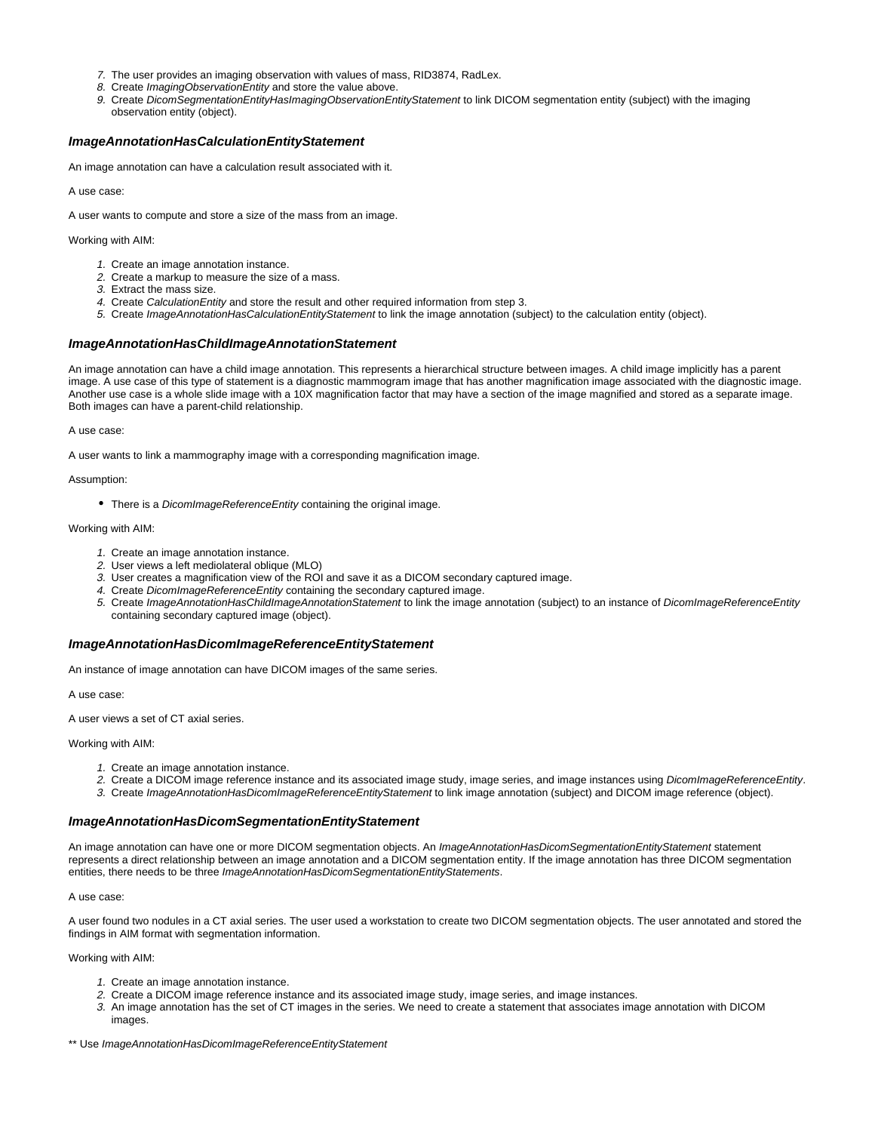- 7. The user provides an imaging observation with values of mass, RID3874, RadLex.
- 8. Create ImagingObservationEntity and store the value above.
- 9. Create DicomSegmentationEntityHasImagingObservationEntityStatement to link DICOM segmentation entity (subject) with the imaging observation entity (object).

# <span id="page-13-0"></span>**ImageAnnotationHasCalculationEntityStatement**

An image annotation can have a calculation result associated with it.

A use case:

A user wants to compute and store a size of the mass from an image.

Working with AIM:

- 1. Create an image annotation instance.
- 2. Create a markup to measure the size of a mass.
- 3. Extract the mass size.
- 4. Create Calculation Entity and store the result and other required information from step 3.
- 5. Create ImageAnnotationHasCalculationEntityStatement to link the image annotation (subject) to the calculation entity (object).

#### <span id="page-13-1"></span>**ImageAnnotationHasChildImageAnnotationStatement**

An image annotation can have a child image annotation. This represents a hierarchical structure between images. A child image implicitly has a parent image. A use case of this type of statement is a diagnostic mammogram image that has another magnification image associated with the diagnostic image. Another use case is a whole slide image with a 10X magnification factor that may have a section of the image magnified and stored as a separate image. Both images can have a parent-child relationship.

A use case:

A user wants to link a mammography image with a corresponding magnification image.

Assumption:

• There is a *DicomImageReferenceEntity* containing the original image.

#### Working with AIM:

- 1. Create an image annotation instance.
- 2. User views a left mediolateral oblique (MLO)
- 3. User creates a magnification view of the ROI and save it as a DICOM secondary captured image.
- 4. Create DicomImageReferenceEntity containing the secondary captured image.
- 5. Create ImageAnnotationHasChildImageAnnotationStatement to link the image annotation (subject) to an instance of DicomImageReferenceEntity containing secondary captured image (object).

#### <span id="page-13-2"></span>**ImageAnnotationHasDicomImageReferenceEntityStatement**

An instance of image annotation can have DICOM images of the same series.

A use case:

A user views a set of CT axial series.

#### Working with AIM:

- 1. Create an image annotation instance.
- 2. Create a DICOM image reference instance and its associated image study, image series, and image instances using DicomImageReferenceEntity.
- 3. Create ImageAnnotationHasDicomImageReferenceEntityStatement to link image annotation (subject) and DICOM image reference (object).

#### <span id="page-13-3"></span>**ImageAnnotationHasDicomSegmentationEntityStatement**

An image annotation can have one or more DICOM segmentation objects. An ImageAnnotationHasDicomSegmentationEntityStatement statement represents a direct relationship between an image annotation and a DICOM segmentation entity. If the image annotation has three DICOM segmentation entities, there needs to be three ImageAnnotationHasDicomSegmentationEntityStatements.

#### A use case:

A user found two nodules in a CT axial series. The user used a workstation to create two DICOM segmentation objects. The user annotated and stored the findings in AIM format with segmentation information.

- 1. Create an image annotation instance.
- 2. Create a DICOM image reference instance and its associated image study, image series, and image instances.
- 3. An image annotation has the set of CT images in the series. We need to create a statement that associates image annotation with DICOM images.
- \*\* Use ImageAnnotationHasDicomImageReferenceEntityStatement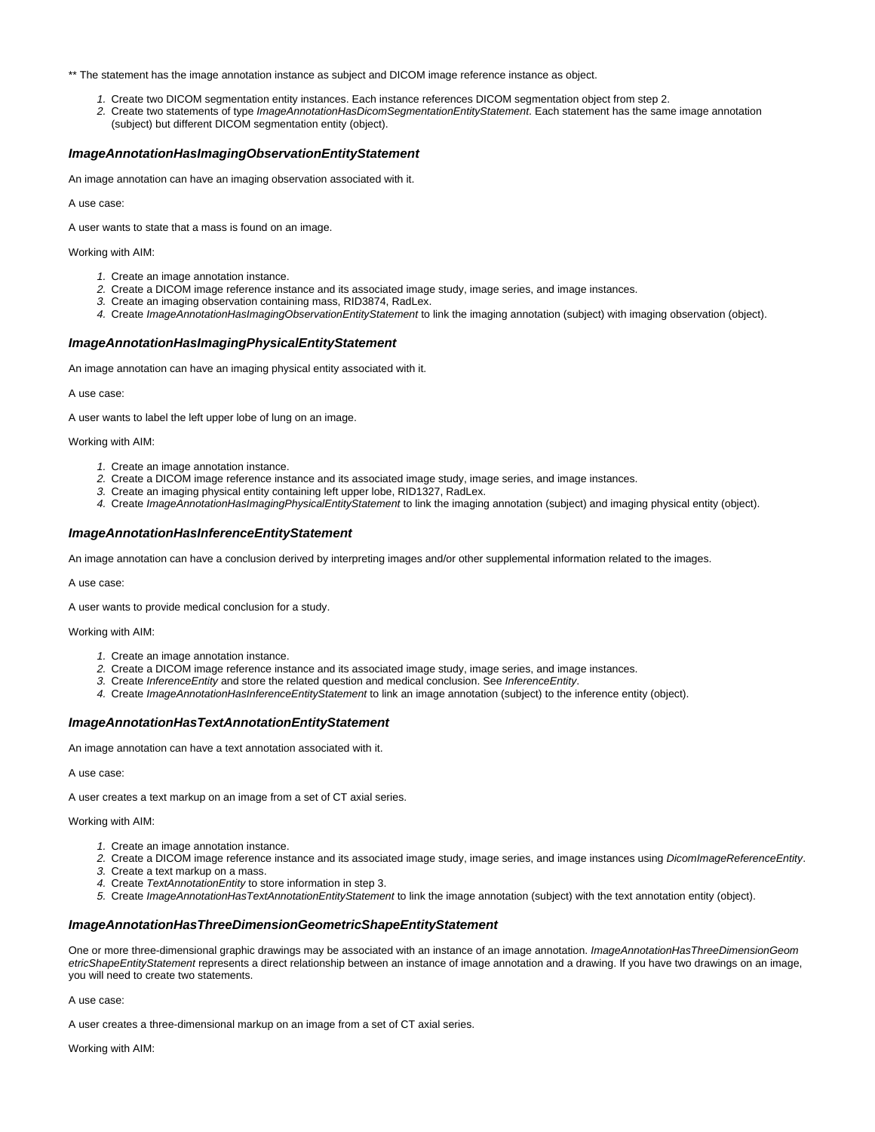\*\* The statement has the image annotation instance as subject and DICOM image reference instance as object.

- 1. Create two DICOM segmentation entity instances. Each instance references DICOM segmentation object from step 2.
- 2. Create two statements of type ImageAnnotationHasDicomSegmentationEntityStatement. Each statement has the same image annotation (subject) but different DICOM segmentation entity (object).

# <span id="page-14-0"></span>**ImageAnnotationHasImagingObservationEntityStatement**

An image annotation can have an imaging observation associated with it.

A use case:

A user wants to state that a mass is found on an image.

Working with AIM:

- 1. Create an image annotation instance.
- 2. Create a DICOM image reference instance and its associated image study, image series, and image instances.
- 3. Create an imaging observation containing mass, RID3874, RadLex.
- 4. Create ImageAnnotationHasImagingObservationEntityStatement to link the imaging annotation (subject) with imaging observation (object).

### <span id="page-14-1"></span>**ImageAnnotationHasImagingPhysicalEntityStatement**

An image annotation can have an imaging physical entity associated with it.

A use case:

A user wants to label the left upper lobe of lung on an image.

Working with AIM:

- 1. Create an image annotation instance.
- 2. Create a DICOM image reference instance and its associated image study, image series, and image instances.
- 3. Create an imaging physical entity containing left upper lobe, RID1327, RadLex.
- 4. Create ImageAnnotationHasImagingPhysicalEntityStatement to link the imaging annotation (subject) and imaging physical entity (object).

### <span id="page-14-2"></span>**ImageAnnotationHasInferenceEntityStatement**

An image annotation can have a conclusion derived by interpreting images and/or other supplemental information related to the images.

A use case:

A user wants to provide medical conclusion for a study.

#### Working with AIM:

- 1. Create an image annotation instance.
- 2. Create a DICOM image reference instance and its associated image study, image series, and image instances.
- 3. Create InferenceEntity and store the related question and medical conclusion. See InferenceEntity.
- 4. Create ImageAnnotationHasInferenceEntityStatement to link an image annotation (subject) to the inference entity (object).

### <span id="page-14-3"></span>**ImageAnnotationHasTextAnnotationEntityStatement**

An image annotation can have a text annotation associated with it.

A use case:

A user creates a text markup on an image from a set of CT axial series.

#### Working with AIM:

- 1. Create an image annotation instance.
- 2. Create a DICOM image reference instance and its associated image study, image series, and image instances using DicomImageReferenceEntity.
- 3. Create a text markup on a mass.
- 4. Create TextAnnotationEntity to store information in step 3.
- 5. Create ImageAnnotationHasTextAnnotationEntityStatement to link the image annotation (subject) with the text annotation entity (object).

### <span id="page-14-4"></span>**ImageAnnotationHasThreeDimensionGeometricShapeEntityStatement**

One or more three-dimensional graphic drawings may be associated with an instance of an image annotation. ImageAnnotationHasThreeDimensionGeom etricShapeEntityStatement represents a direct relationship between an instance of image annotation and a drawing. If you have two drawings on an image, you will need to create two statements.

A use case:

A user creates a three-dimensional markup on an image from a set of CT axial series.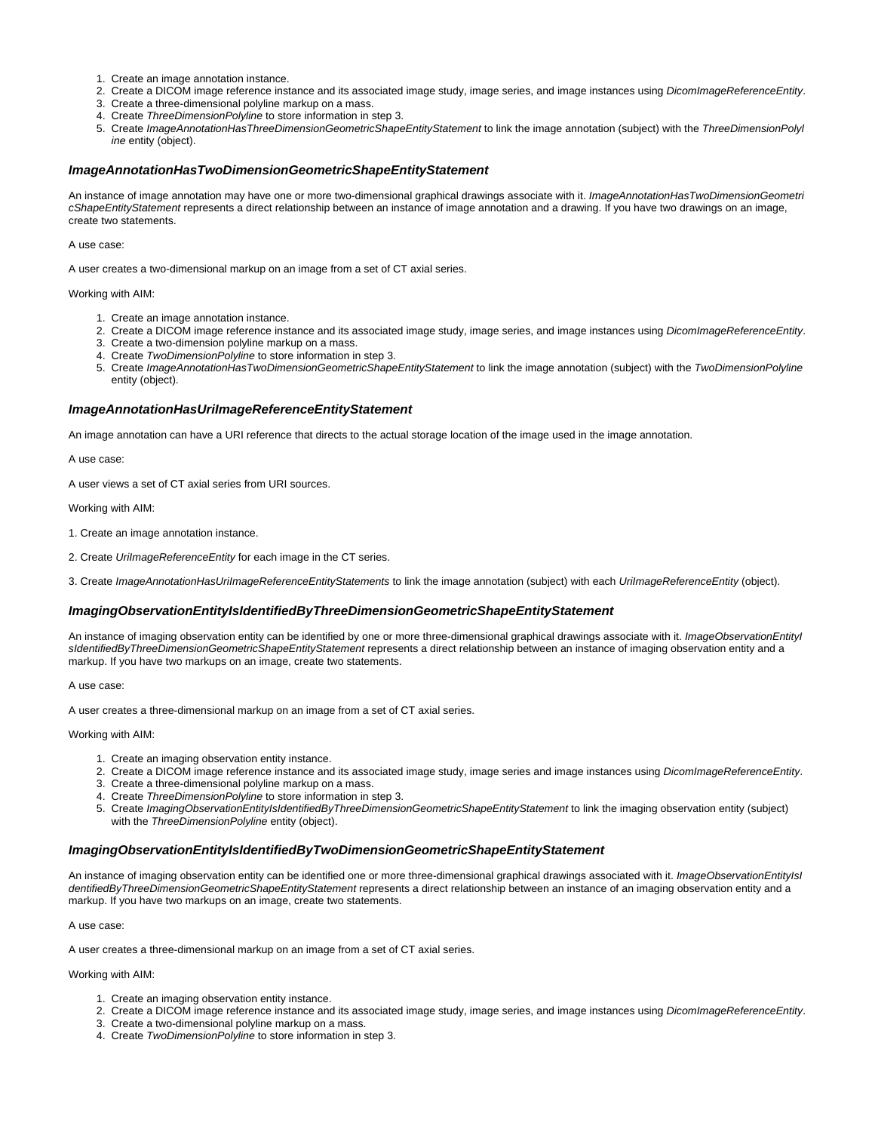- 1. Create an image annotation instance.
- 2. Create a DICOM image reference instance and its associated image study, image series, and image instances using *DicomImageReferenceEntity*.
- 3. Create a three-dimensional polyline markup on a mass.
- 4. Create ThreeDimensionPolyline to store information in step 3.
- 5. Create ImageAnnotationHasThreeDimensionGeometricShapeEntityStatement to link the image annotation (subject) with the ThreeDimensionPolyi ine entity (object).

### <span id="page-15-0"></span>**ImageAnnotationHasTwoDimensionGeometricShapeEntityStatement**

An instance of image annotation may have one or more two-dimensional graphical drawings associate with it. ImageAnnotationHasTwoDimensionGeometri cShapeEntityStatement represents a direct relationship between an instance of image annotation and a drawing. If you have two drawings on an image, create two statements.

A use case:

A user creates a two-dimensional markup on an image from a set of CT axial series.

Working with AIM:

- 1. Create an image annotation instance.
- 2. Create a DICOM image reference instance and its associated image study, image series, and image instances using *DicomImageReferenceEntity*.
- 3. Create a two-dimension polyline markup on a mass.
- 4. Create TwoDimensionPolyline to store information in step 3. 5. Create ImageAnnotationHasTwoDimensionGeometricShapeEntityStatement to link the image annotation (subject) with the TwoDimensionPolyline
- entity (object).

# <span id="page-15-1"></span>**ImageAnnotationHasUriImageReferenceEntityStatement**

An image annotation can have a URI reference that directs to the actual storage location of the image used in the image annotation.

A use case:

A user views a set of CT axial series from URI sources.

Working with AIM:

- 1. Create an image annotation instance.
- 2. Create UrilmageReferenceEntity for each image in the CT series.
- 3. Create ImageAnnotationHasUrilmageReferenceEntityStatements to link the image annotation (subject) with each UrilmageReferenceEntity (object).

#### <span id="page-15-2"></span>**ImagingObservationEntityIsIdentifiedByThreeDimensionGeometricShapeEntityStatement**

An instance of imaging observation entity can be identified by one or more three-dimensional graphical drawings associate with it. ImageObservationEntityI sIdentifiedByThreeDimensionGeometricShapeEntityStatement represents a direct relationship between an instance of imaging observation entity and a markup. If you have two markups on an image, create two statements.

A use case:

A user creates a three-dimensional markup on an image from a set of CT axial series.

Working with AIM:

- 1. Create an imaging observation entity instance.
- 2. Create a DICOM image reference instance and its associated image study, image series and image instances using *DicomImageReferenceEntity*.
- 3. Create a three-dimensional polyline markup on a mass.
- 4. Create ThreeDimensionPolyline to store information in step 3.
- 5. Create ImagingObservationEntityIsIdentifiedByThreeDimensionGeometricShapeEntityStatement to link the imaging observation entity (subject) with the ThreeDimensionPolyline entity (object).

#### <span id="page-15-3"></span>**ImagingObservationEntityIsIdentifiedByTwoDimensionGeometricShapeEntityStatement**

An instance of imaging observation entity can be identified one or more three-dimensional graphical drawings associated with it. ImageObservationEntityIsI dentifiedByThreeDimensionGeometricShapeEntityStatement represents a direct relationship between an instance of an imaging observation entity and a markup. If you have two markups on an image, create two statements.

A use case:

A user creates a three-dimensional markup on an image from a set of CT axial series.

- 1. Create an imaging observation entity instance.
- 2. Create a DICOM image reference instance and its associated image study, image series, and image instances using *DicomImageReferenceEntity*.
- 3. Create a two-dimensional polyline markup on a mass.
- 4. Create TwoDimensionPolyline to store information in step 3.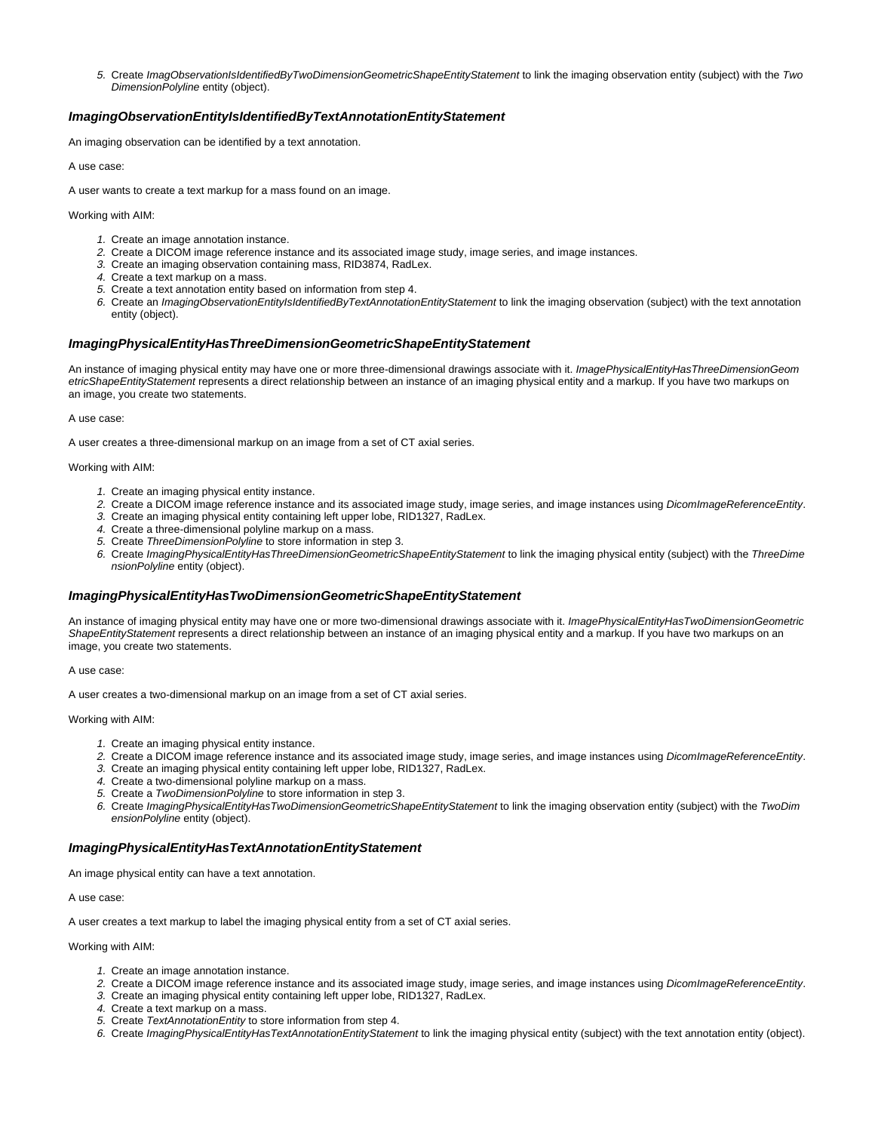5. Create ImagObservationIsIdentifiedByTwoDimensionGeometricShapeEntityStatement to link the imaging observation entity (subject) with the Two DimensionPolyline entity (object).

# <span id="page-16-0"></span>**ImagingObservationEntityIsIdentifiedByTextAnnotationEntityStatement**

An imaging observation can be identified by a text annotation.

A use case:

A user wants to create a text markup for a mass found on an image.

Working with AIM:

- 1. Create an image annotation instance.
- 2. Create a DICOM image reference instance and its associated image study, image series, and image instances.
- 3. Create an imaging observation containing mass, RID3874, RadLex.
- 4. Create a text markup on a mass.
- 5. Create a text annotation entity based on information from step 4.
- 6. Create an ImagingObservationEntityIsIdentifiedByTextAnnotationEntityStatement to link the imaging observation (subject) with the text annotation entity (object).

### <span id="page-16-1"></span>**ImagingPhysicalEntityHasThreeDimensionGeometricShapeEntityStatement**

An instance of imaging physical entity may have one or more three-dimensional drawings associate with it. ImagePhysicalEntityHasThreeDimensionGeom etricShapeEntityStatement represents a direct relationship between an instance of an imaging physical entity and a markup. If you have two markups on an image, you create two statements.

A use case:

A user creates a three-dimensional markup on an image from a set of CT axial series.

Working with AIM:

- 1. Create an imaging physical entity instance.
- 2. Create a DICOM image reference instance and its associated image study, image series, and image instances using DicomImageReferenceEntity.
- 3. Create an imaging physical entity containing left upper lobe, RID1327, RadLex.
- 4. Create a three-dimensional polyline markup on a mass.
- 5. Create ThreeDimensionPolyline to store information in step 3. 6. Create ImagingPhysicalEntityHasThreeDimensionGeometricShapeEntityStatement to link the imaging physical entity (subject) with the ThreeDime nsionPolyline entity (object).

#### <span id="page-16-2"></span>**ImagingPhysicalEntityHasTwoDimensionGeometricShapeEntityStatement**

An instance of imaging physical entity may have one or more two-dimensional drawings associate with it. ImagePhysicalEntityHasTwoDimensionGeometric ShapeEntityStatement represents a direct relationship between an instance of an imaging physical entity and a markup. If you have two markups on an image, you create two statements.

A use case:

A user creates a two-dimensional markup on an image from a set of CT axial series.

Working with AIM:

- 1. Create an imaging physical entity instance.
- 2. Create a DICOM image reference instance and its associated image study, image series, and image instances using DicomImageReferenceEntity.
- 3. Create an imaging physical entity containing left upper lobe, RID1327, RadLex.
- 4. Create a two-dimensional polyline markup on a mass.
- 5. Create a TwoDimensionPolyline to store information in step 3.
- 6. Create ImagingPhysicalEntityHasTwoDimensionGeometricShapeEntityStatement to link the imaging observation entity (subject) with the TwoDim ensionPolyline entity (object).

### <span id="page-16-3"></span>**ImagingPhysicalEntityHasTextAnnotationEntityStatement**

An image physical entity can have a text annotation.

A use case:

A user creates a text markup to label the imaging physical entity from a set of CT axial series.

- 1. Create an image annotation instance.
- 2. Create a DICOM image reference instance and its associated image study, image series, and image instances using DicomImageReferenceEntity.
- 3. Create an imaging physical entity containing left upper lobe, RID1327, RadLex.
- 4. Create a text markup on a mass.
- 5. Create TextAnnotationEntity to store information from step 4.
- <span id="page-16-4"></span>6. Create ImagingPhysicalEntityHasTextAnnotationEntityStatement to link the imaging physical entity (subject) with the text annotation entity (object).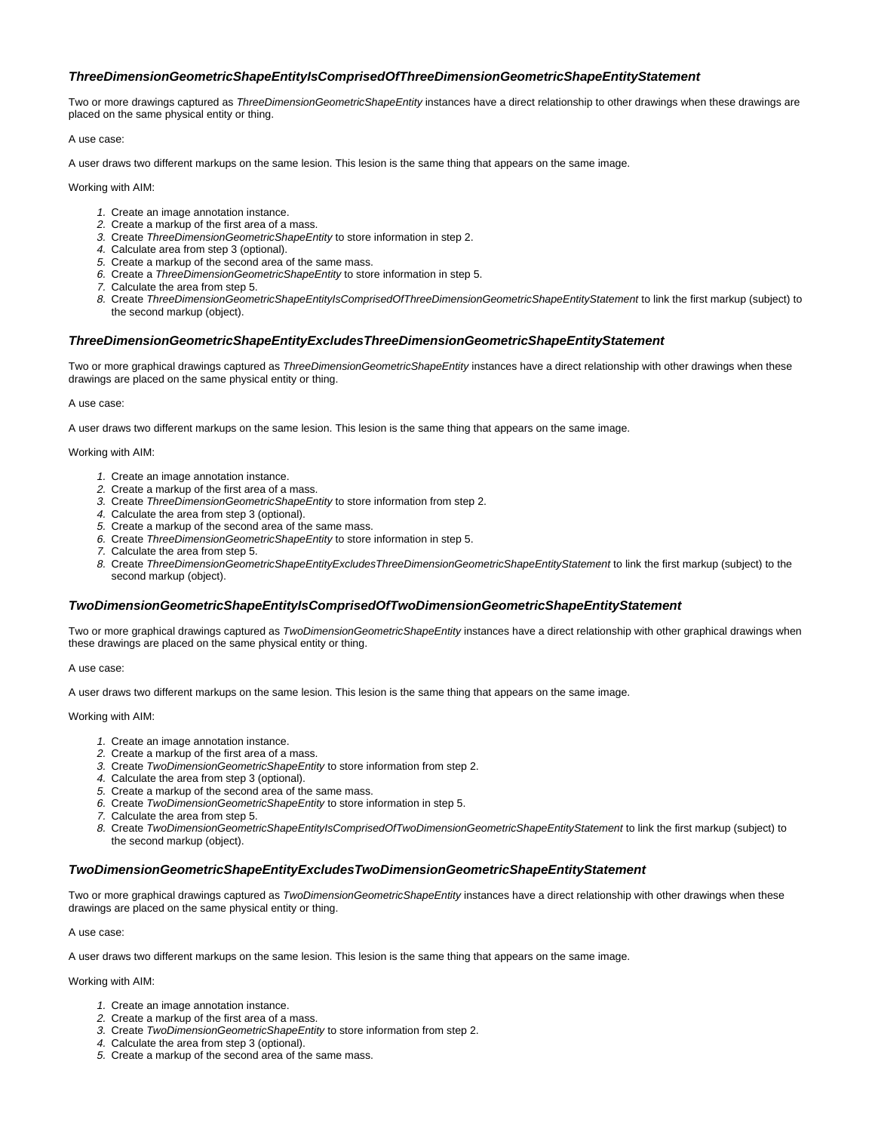# **ThreeDimensionGeometricShapeEntityIsComprisedOfThreeDimensionGeometricShapeEntityStatement**

Two or more drawings captured as ThreeDimensionGeometricShapeEntity instances have a direct relationship to other drawings when these drawings are placed on the same physical entity or thing.

A use case:

A user draws two different markups on the same lesion. This lesion is the same thing that appears on the same image.

Working with AIM:

- 1. Create an image annotation instance.
- 2. Create a markup of the first area of a mass.
- 3. Create ThreeDimensionGeometricShapeEntity to store information in step 2.
- 4. Calculate area from step 3 (optional).
- 5. Create a markup of the second area of the same mass.
- 6. Create a ThreeDimensionGeometricShapeEntity to store information in step 5.
- 7. Calculate the area from step 5.
- 8. Create ThreeDimensionGeometricShapeEntityIsComprisedOfThreeDimensionGeometricShapeEntityStatement to link the first markup (subject) to the second markup (object).

### <span id="page-17-0"></span>**ThreeDimensionGeometricShapeEntityExcludesThreeDimensionGeometricShapeEntityStatement**

Two or more graphical drawings captured as ThreeDimensionGeometricShapeEntity instances have a direct relationship with other drawings when these drawings are placed on the same physical entity or thing.

A use case:

A user draws two different markups on the same lesion. This lesion is the same thing that appears on the same image.

Working with AIM:

- 1. Create an image annotation instance.
- 2. Create a markup of the first area of a mass.
- 3. Create ThreeDimensionGeometricShapeEntity to store information from step 2.
- 4. Calculate the area from step 3 (optional).
- 5. Create a markup of the second area of the same mass.
- 6. Create ThreeDimensionGeometricShapeEntity to store information in step 5.
- 7. Calculate the area from step 5.
- 8. Create ThreeDimensionGeometricShapeEntityExcludesThreeDimensionGeometricShapeEntityStatement to link the first markup (subject) to the second markup (object).

# <span id="page-17-1"></span>**TwoDimensionGeometricShapeEntityIsComprisedOfTwoDimensionGeometricShapeEntityStatement**

Two or more graphical drawings captured as TwoDimensionGeometricShapeEntity instances have a direct relationship with other graphical drawings when these drawings are placed on the same physical entity or thing.

A use case:

A user draws two different markups on the same lesion. This lesion is the same thing that appears on the same image.

Working with AIM:

- 1. Create an image annotation instance.
- 2. Create a markup of the first area of a mass.
- 3. Create TwoDimensionGeometricShapeEntity to store information from step 2.
- 4. Calculate the area from step 3 (optional).
- 5. Create a markup of the second area of the same mass.
- 6. Create TwoDimensionGeometricShapeEntity to store information in step 5.
- 7. Calculate the area from step 5.
- 8. Create TwoDimensionGeometricShapeEntityIsComprisedOfTwoDimensionGeometricShapeEntityStatement to link the first markup (subject) to the second markup (object).

# <span id="page-17-2"></span>**TwoDimensionGeometricShapeEntityExcludesTwoDimensionGeometricShapeEntityStatement**

Two or more graphical drawings captured as TwoDimensionGeometricShapeEntity instances have a direct relationship with other drawings when these drawings are placed on the same physical entity or thing.

A use case:

A user draws two different markups on the same lesion. This lesion is the same thing that appears on the same image.

- 1. Create an image annotation instance.
- 2. Create a markup of the first area of a mass.
- 3. Create TwoDimensionGeometricShapeEntity to store information from step 2.
- 4. Calculate the area from step 3 (optional).
- 5. Create a markup of the second area of the same mass.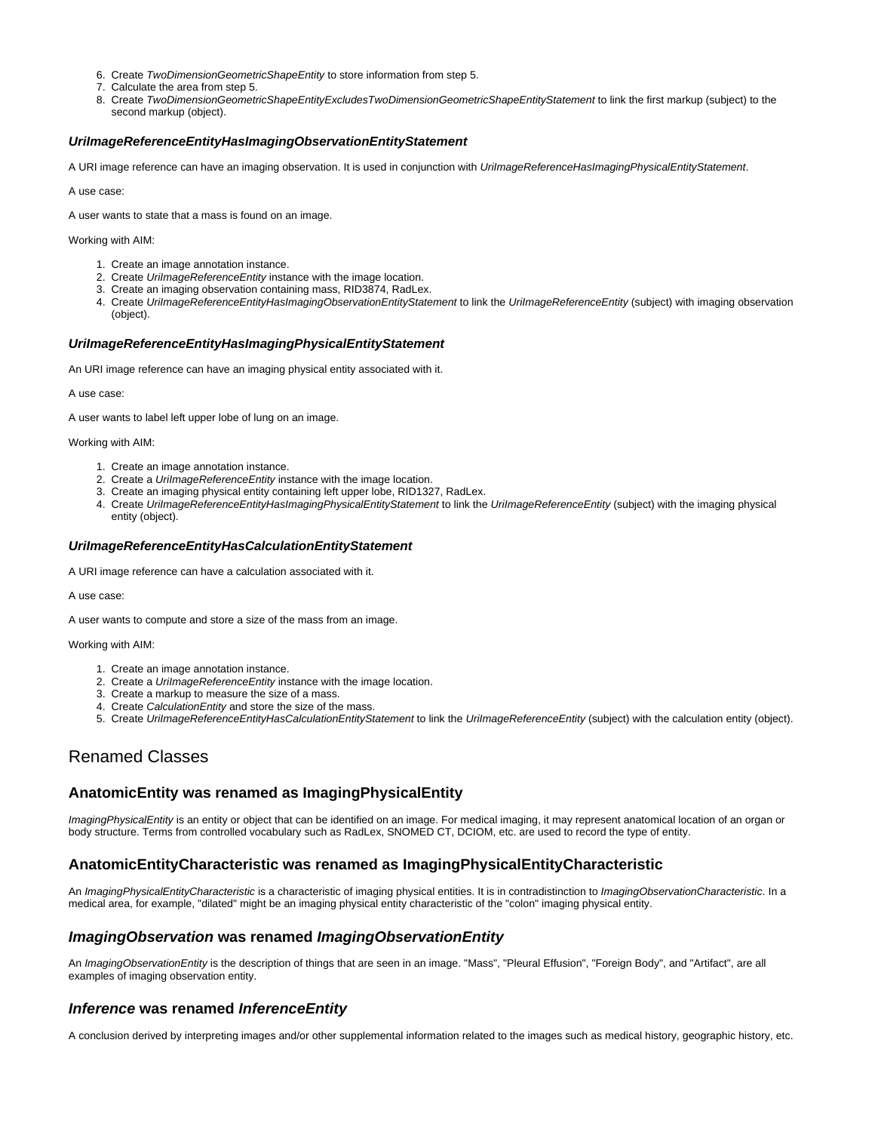- 6. Create TwoDimensionGeometricShapeEntity to store information from step 5.
- 7. Calculate the area from step 5.
- 8. Create TwoDimensionGeometricShapeEntityExcludesTwoDimensionGeometricShapeEntityStatement to link the first markup (subject) to the second markup (object).

## <span id="page-18-0"></span>**UriImageReferenceEntityHasImagingObservationEntityStatement**

A URI image reference can have an imaging observation. It is used in conjunction with UriImageReferenceHasImagingPhysicalEntityStatement.

A use case:

A user wants to state that a mass is found on an image.

Working with AIM:

- 1. Create an image annotation instance.
- 2. Create UrilmageReferenceEntity instance with the image location.
- 3. Create an imaging observation containing mass, RID3874, RadLex.
- 4. Create UriImageReferenceEntityHasImagingObservationEntityStatement to link the UriImageReferenceEntity (subject) with imaging observation (object).

## <span id="page-18-1"></span>**UriImageReferenceEntityHasImagingPhysicalEntityStatement**

An URI image reference can have an imaging physical entity associated with it.

A use case:

A user wants to label left upper lobe of lung on an image.

Working with AIM:

- 1. Create an image annotation instance.
- 2. Create a UrilmageReferenceEntity instance with the image location.
- 3. Create an imaging physical entity containing left upper lobe, RID1327, RadLex.
- 4. Create UrilmageReferenceEntityHasImagingPhysicalEntityStatement to link the UrilmageReferenceEntity (subject) with the imaging physical entity (object).

### <span id="page-18-2"></span>**UriImageReferenceEntityHasCalculationEntityStatement**

A URI image reference can have a calculation associated with it.

A use case:

A user wants to compute and store a size of the mass from an image.

Working with AIM:

- 1. Create an image annotation instance.
- 2. Create a UrilmageReferenceEntity instance with the image location.
- 3. Create a markup to measure the size of a mass.
- 4. Create CalculationEntity and store the size of the mass.
- 5. Create UriImageReferenceEntityHasCalculationEntityStatement to link the UriImageReferenceEntity (subject) with the calculation entity (object).

# <span id="page-18-3"></span>Renamed Classes

# <span id="page-18-4"></span>**AnatomicEntity was renamed as ImagingPhysicalEntity**

ImagingPhysicalEntity is an entity or object that can be identified on an image. For medical imaging, it may represent anatomical location of an organ or body structure. Terms from controlled vocabulary such as RadLex, SNOMED CT, DCIOM, etc. are used to record the type of entity.

# <span id="page-18-5"></span>**AnatomicEntityCharacteristic was renamed as ImagingPhysicalEntityCharacteristic**

An ImagingPhysicalEntityCharacteristic is a characteristic of imaging physical entities. It is in contradistinction to ImagingObservationCharacteristic. In a medical area, for example, "dilated" might be an imaging physical entity characteristic of the "colon" imaging physical entity.

# <span id="page-18-6"></span>**ImagingObservation was renamed ImagingObservationEntity**

An ImagingObservationEntity is the description of things that are seen in an image. "Mass", "Pleural Effusion", "Foreign Body", and "Artifact", are all examples of imaging observation entity.

# <span id="page-18-7"></span>**Inference was renamed InferenceEntity**

<span id="page-18-8"></span>A conclusion derived by interpreting images and/or other supplemental information related to the images such as medical history, geographic history, etc.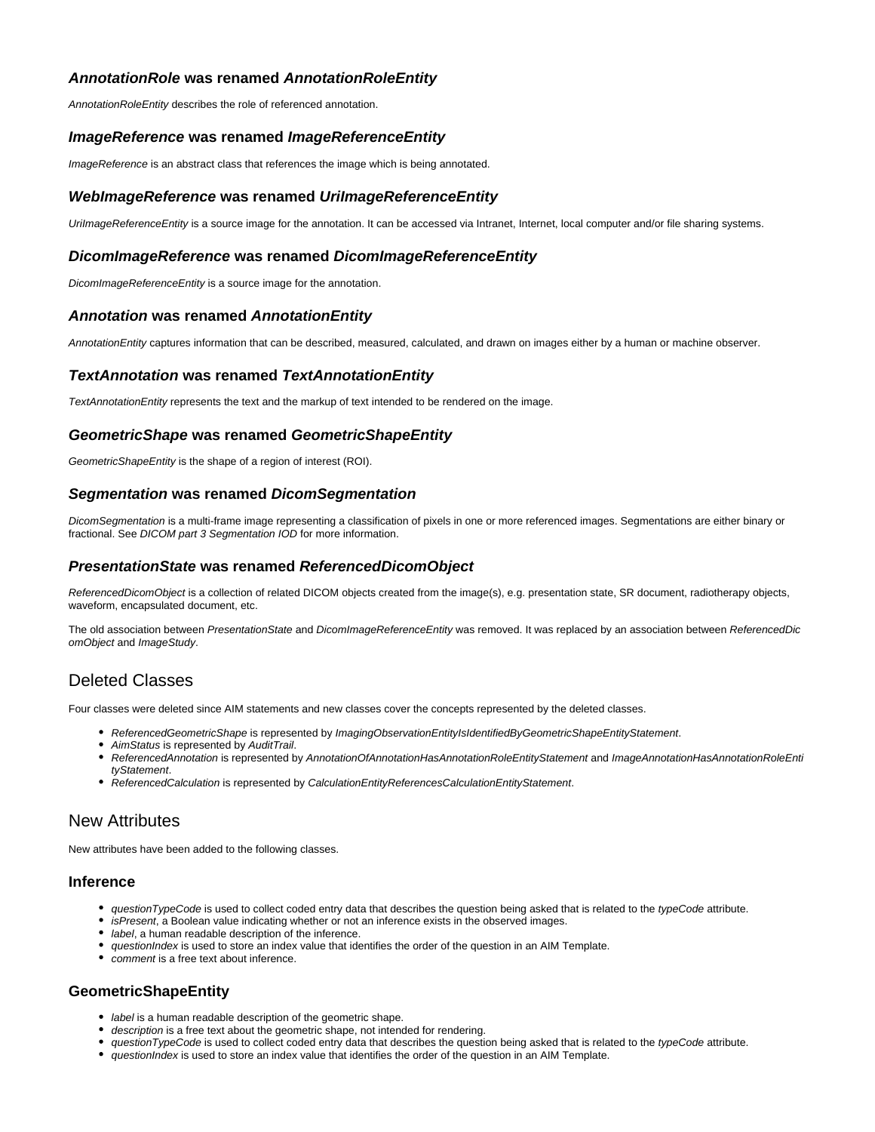# **AnnotationRole was renamed AnnotationRoleEntity**

AnnotationRoleEntity describes the role of referenced annotation.

# <span id="page-19-0"></span>**ImageReference was renamed ImageReferenceEntity**

ImageReference is an abstract class that references the image which is being annotated.

# <span id="page-19-1"></span>**WebImageReference was renamed UriImageReferenceEntity**

UrilmageReferenceEntity is a source image for the annotation. It can be accessed via Intranet, Internet, local computer and/or file sharing systems.

# <span id="page-19-2"></span>**DicomImageReference was renamed DicomImageReferenceEntity**

DicomImageReferenceEntity is a source image for the annotation.

# <span id="page-19-3"></span>**Annotation was renamed AnnotationEntity**

AnnotationEntity captures information that can be described, measured, calculated, and drawn on images either by a human or machine observer.

# <span id="page-19-4"></span>**TextAnnotation was renamed TextAnnotationEntity**

TextAnnotationEntity represents the text and the markup of text intended to be rendered on the image.

# <span id="page-19-5"></span>**GeometricShape was renamed GeometricShapeEntity**

GeometricShapeEntity is the shape of a region of interest (ROI).

# <span id="page-19-6"></span>**Segmentation was renamed DicomSegmentation**

DicomSegmentation is a multi-frame image representing a classification of pixels in one or more referenced images. Segmentations are either binary or fractional. See DICOM part 3 Segmentation IOD for more information.

# <span id="page-19-7"></span>**PresentationState was renamed ReferencedDicomObject**

ReferencedDicomObject is a collection of related DICOM objects created from the image(s), e.g. presentation state, SR document, radiotherapy objects, waveform, encapsulated document, etc.

The old association between PresentationState and DicomImageReferenceEntity was removed. It was replaced by an association between ReferencedDic omObject and ImageStudy.

# <span id="page-19-8"></span>Deleted Classes

Four classes were deleted since AIM statements and new classes cover the concepts represented by the deleted classes.

- ReferencedGeometricShape is represented by ImagingObservationEntityIsIdentifiedByGeometricShapeEntityStatement.
- AimStatus is represented by AuditTrail.
- ReferencedAnnotation is represented by AnnotationOfAnnotationHasAnnotationRoleEntityStatement and ImageAnnotationHasAnnotationRoleEnti tyStatement.
- ReferencedCalculation is represented by CalculationEntityReferencesCalculationEntityStatement.

# <span id="page-19-9"></span>New Attributes

New attributes have been added to the following classes.

# <span id="page-19-10"></span>**Inference**

- questionTypeCode is used to collect coded entry data that describes the question being asked that is related to the typeCode attribute.
- isPresent, a Boolean value indicating whether or not an inference exists in the observed images.
- label, a human readable description of the inference.
- ouestionIndex is used to store an index value that identifies the order of the question in an AIM Template.
- comment is a free text about inference.

# <span id="page-19-11"></span>**GeometricShapeEntity**

- label is a human readable description of the geometric shape.
- description is a free text about the geometric shape, not intended for rendering.
- questionTypeCode is used to collect coded entry data that describes the question being asked that is related to the typeCode attribute.
- questionIndex is used to store an index value that identifies the order of the question in an AIM Template.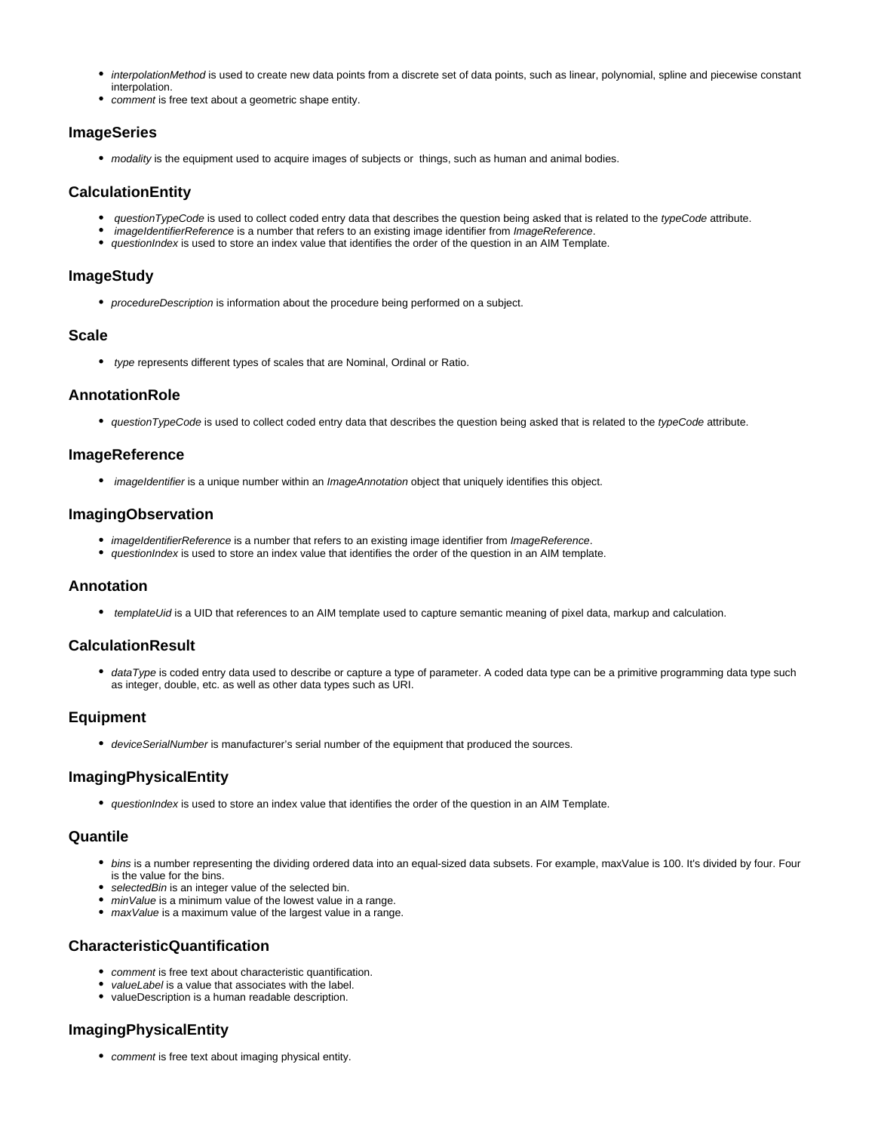- interpolationMethod is used to create new data points from a discrete set of data points, such as linear, polynomial, spline and piecewise constant interpolation.
- comment is free text about a geometric shape entity.

# <span id="page-20-0"></span>**ImageSeries**

• modality is the equipment used to acquire images of subjects or things, such as human and animal bodies.

# <span id="page-20-1"></span>**CalculationEntity**

- questionTypeCode is used to collect coded entry data that describes the question being asked that is related to the typeCode attribute.
- imageIdentifierReference is a number that refers to an existing image identifier from ImageReference.
- questionIndex is used to store an index value that identifies the order of the question in an AIM Template.

# <span id="page-20-2"></span>**ImageStudy**

• procedureDescription is information about the procedure being performed on a subject.

# <span id="page-20-3"></span>**Scale**

• type represents different types of scales that are Nominal, Ordinal or Ratio.

# <span id="page-20-4"></span>**AnnotationRole**

• questionTypeCode is used to collect coded entry data that describes the question being asked that is related to the typeCode attribute.

# <span id="page-20-5"></span>**ImageReference**

• imageIdentifier is a unique number within an ImageAnnotation object that uniquely identifies this object.

# <span id="page-20-6"></span>**ImagingObservation**

- imageIdentifierReference is a number that refers to an existing image identifier from ImageReference.
- questionIndex is used to store an index value that identifies the order of the question in an AIM template.

# <span id="page-20-7"></span>**Annotation**

● templateUid is a UID that references to an AIM template used to capture semantic meaning of pixel data, markup and calculation.

# <span id="page-20-8"></span>**CalculationResult**

• dataType is coded entry data used to describe or capture a type of parameter. A coded data type can be a primitive programming data type such as integer, double, etc. as well as other data types such as URI.

# <span id="page-20-9"></span>**Equipment**

deviceSerialNumber is manufacturer's serial number of the equipment that produced the sources.

# <span id="page-20-10"></span>**ImagingPhysicalEntity**

• questionIndex is used to store an index value that identifies the order of the question in an AIM Template.

# <span id="page-20-11"></span>**Quantile**

- bins is a number representing the dividing ordered data into an equal-sized data subsets. For example, maxValue is 100. It's divided by four. Four is the value for the bins.
- selectedBin is an integer value of the selected bin.
- minValue is a minimum value of the lowest value in a range.
- maxValue is a maximum value of the largest value in a range.

# <span id="page-20-12"></span>**CharacteristicQuantification**

- comment is free text about characteristic quantification.
- valueLabel is a value that associates with the label.
- valueDescription is a human readable description.

# <span id="page-20-14"></span><span id="page-20-13"></span>**ImagingPhysicalEntity**

• comment is free text about imaging physical entity.